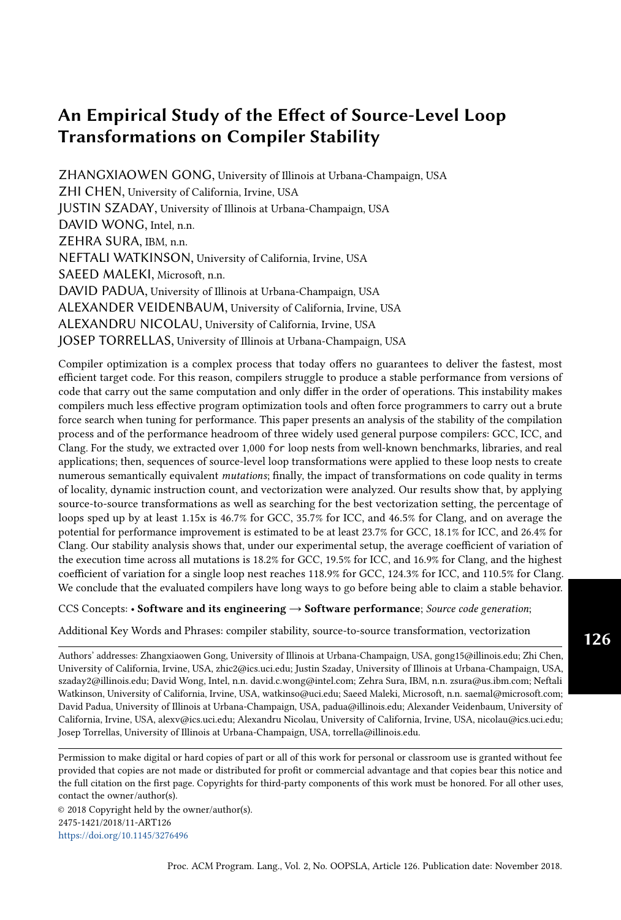ZHANGXIAOWEN GONG, University of Illinois at Urbana-Champaign, USA ZHI CHEN, University of California, Irvine, USA JUSTIN SZADAY, University of Illinois at Urbana-Champaign, USA DAVID WONG, Intel, n.n. ZEHRA SURA, IBM, n.n. NEFTALI WATKINSON, University of California, Irvine, USA SAEED MALEKI, Microsoft, n.n. DAVID PADUA, University of Illinois at Urbana-Champaign, USA ALEXANDER VEIDENBAUM, University of California, Irvine, USA ALEXANDRU NICOLAU, University of California, Irvine, USA JOSEP TORRELLAS, University of Illinois at Urbana-Champaign, USA

Compiler optimization is a complex process that today offers no guarantees to deliver the fastest, most efficient target code. For this reason, compilers struggle to produce a stable performance from versions of code that carry out the same computation and only differ in the order of operations. This instability makes compilers much less effective program optimization tools and often force programmers to carry out a brute force search when tuning for performance. This paper presents an analysis of the stability of the compilation process and of the performance headroom of three widely used general purpose compilers: GCC, ICC, and Clang. For the study, we extracted over 1,000 for loop nests from well-known benchmarks, libraries, and real applications; then, sequences of source-level loop transformations were applied to these loop nests to create numerous semantically equivalent mutations; finally, the impact of transformations on code quality in terms of locality, dynamic instruction count, and vectorization were analyzed. Our results show that, by applying source-to-source transformations as well as searching for the best vectorization setting, the percentage of loops sped up by at least 1.15x is 46.7% for GCC, 35.7% for ICC, and 46.5% for Clang, and on average the potential for performance improvement is estimated to be at least 23.7% for GCC, 18.1% for ICC, and 26.4% for Clang. Our stability analysis shows that, under our experimental setup, the average coefficient of variation of the execution time across all mutations is 18.2% for GCC, 19.5% for ICC, and 16.9% for Clang, and the highest coefficient of variation for a single loop nest reaches 118.9% for GCC, 124.3% for ICC, and 110.5% for Clang. We conclude that the evaluated compilers have long ways to go before being able to claim a stable behavior.

CCS Concepts: • Software and its engineering → Software performance; Source code generation;

Additional Key Words and Phrases: compiler stability, source-to-source transformation, vectorization

Authors' addresses: Zhangxiaowen Gong, University of Illinois at Urbana-Champaign, USA, gong15@illinois.edu; Zhi Chen, University of California, Irvine, USA, zhic2@ics.uci.edu; Justin Szaday, University of Illinois at Urbana-Champaign, USA, szaday2@illinois.edu; David Wong, Intel, n.n. david.c.wong@intel.com; Zehra Sura, IBM, n.n. zsura@us.ibm.com; Neftali Watkinson, University of California, Irvine, USA, watkinso@uci.edu; Saeed Maleki, Microsoft, n.n. saemal@microsoft.com; David Padua, University of Illinois at Urbana-Champaign, USA, padua@illinois.edu; Alexander Veidenbaum, University of California, Irvine, USA, alexv@ics.uci.edu; Alexandru Nicolau, University of California, Irvine, USA, nicolau@ics.uci.edu; Josep Torrellas, University of Illinois at Urbana-Champaign, USA, torrella@illinois.edu.

Permission to make digital or hard copies of part or all of this work for personal or classroom use is granted without fee provided that copies are not made or distributed for profit or commercial advantage and that copies bear this notice and the full citation on the first page. Copyrights for third-party components of this work must be honored. For all other uses, contact the owner/author(s).

© 2018 Copyright held by the owner/author(s). 2475-1421/2018/11-ART126 <https://doi.org/10.1145/3276496>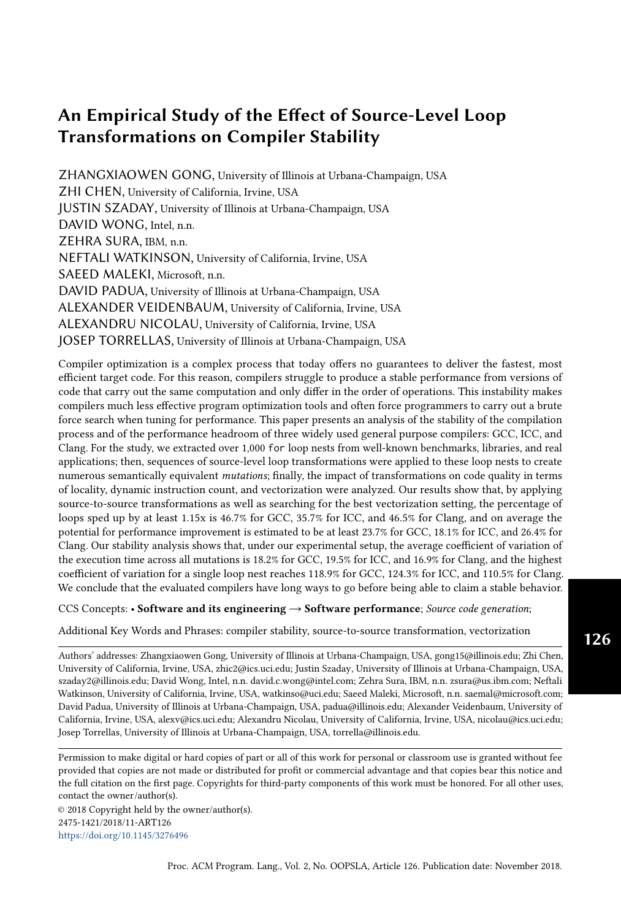#### ACM Reference Format:

Zhangxiaowen Gong, Zhi Chen, Justin Szaday, David Wong, Zehra Sura, Neftali Watkinson, Saeed Maleki, David Padua, Alexander Veidenbaum, Alexandru Nicolau, and Josep Torrellas . 2018. An Empirical Study of the Effect of Source-Level Loop Transformations on Compiler Stability. Proc. ACM Program. Lang. 2, OOPSLA, Article 126 (November 2018), [30](#page-29-0) pages. <https://doi.org/10.1145/3276496>

#### 1 INTRODUCTION

Two of the most important outcomes after sixty years of compiler research are powerful methods for program analysis and an extensive catalog of program transformations. Although there is room for improvement in these areas, we can say that today's compiler analysis and transformation technology rest on solid ground and are well understood. On the other hand, the process of program optimization, which guides the application of transformations to achieve good performance, is not well understood. This is why the standard way of selecting the best compiler command options is to use empirical methods (e.g. by [Pan and Eigenmann](#page-28-0) [\[2006\]](#page-28-0); [Triantafyllis et al.](#page-29-1) [\[2003\]](#page-29-1)). In addition, because of the lack of understanding of the optimization process, there is much room for improvement even under the best compiler command settings as testified by the numerous projects that apply source-to-source pre-passes to improve the quality of the target code, such as the work by [Kuck et al.](#page-28-1) [\[1980\]](#page-28-1), [Tiwari et al.](#page-29-2) [\[2011\]](#page-29-2), [Fursin et al.](#page-28-2) [\[2002\]](#page-28-2), and [Pouchet et al.](#page-28-3) [\[2008\]](#page-28-3).

The benefits derived from tuning compiler options and applying source-to-source transformations are the results of sub-optimal compilers. A hypothetically "perfect" compiler would incorporate the best settings and transformation sequences in its optimization passes and would not need switch selection nor pre-passes. Such a "perfect" compiler would be "stable" in the sense that it would generate the same optimal target code for all semantically-equivalent versions of a loop nest. With near-optimal, stable compilers, programmers could focus on algorithm selection and program readability instead of having to twist the code with what often are obfuscating transformations to improve performance. The undecidability of program equivalence makes it impossible to develop compiler algorithms that generate the same code for all semantically-equivalent code sequences. However, there is no reason why they cannot generate target code that performs quite close to the optimum within a comfortable stability margin.

Although the compiler community is aware of the existence of instability, its magnitude has never been measured. In this paper, we present the first quantitative study on compiler stability. Since instability implies that there is often a performance headroom of the target code, we also study this headroom and estimate the performance improvement that could result from manipulating the source code. Since the majority of the work is usually performed in loops for compute-intensive applications, we choose to investigate the stability and performance headroom of the loop optimization pass of three popular compilers: GNU Compiler Collection (GCC), Intel C++ Compiler (ICC), and LLVM C Compiler (Clang). The focus is on the compilation of for loops because it is among the language constructs whose analyses and transformations are best understood.

In order to make our study of compiler stability and performance headroom as representative as possible, we put together an extensive collection of loop nests extracted from 13 benchmarks suites and other sources, such as software libraries and machine learning kernels. The source code of these loop nests as well as their performance results are available in the LORE repository [\[Chen](#page-28-4) [et al.](#page-28-4) [2017\]](#page-28-4) developed to serve as a resource for the evaluation of compilers. We implemented an extractor to separate for loop nests from the original applications and build standalone codelets that can be executed independently. The codelets are instrumented by the extractor to measure execution time and to read a number of performance counters. Only loop nests consuming more than 1,000 processor cycles were included in the study of stability and performance headroom to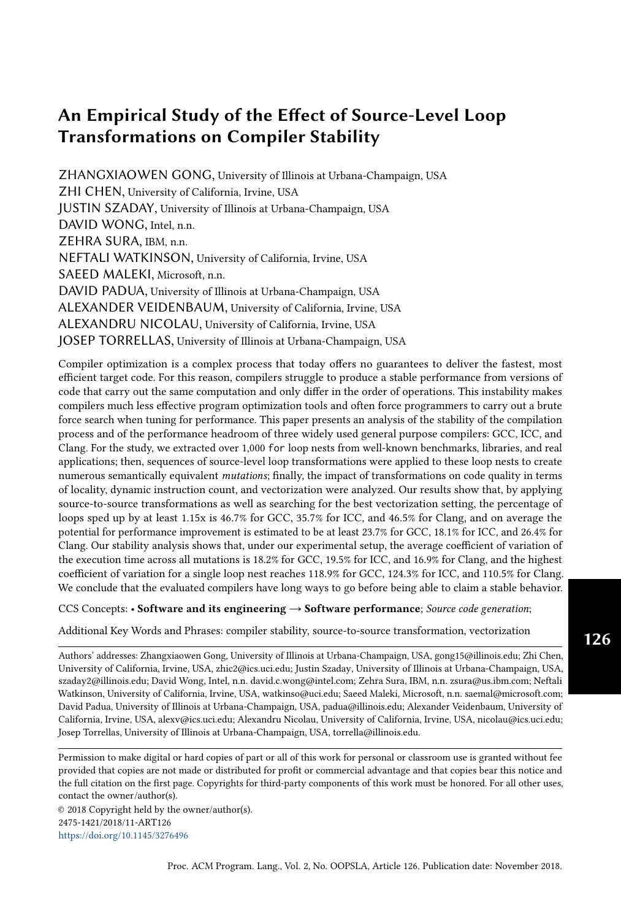reduce the impact of measurement overhead. As a result, out of 3,197 loops that we have extracted, between 1,175 and 1,266 loop nests were investigated, depending on the compiler.

Our methodology for estimating compiler stability and performance headroom is to apply sourceto-source transformations to obtain numerous semantically-equivalent versions of each loop nest, called mutations in this paper, and measure the variation in execution time of the mutations. Unlike the work mentioned above, our goal in this paper is not to improve the quality of the target code, but to study the effectiveness of today's compilers; therefore, we traverse the transformation space to create various loop structures without any performance target.

To generate the mutations, we developed an automated tool, called the mutator, which applies source-to-source transformations to the source code. These source-to-source transformations are combinations of five basic yet highly effective loop transformations: interchange, tiling, unrolling, unroll-and-jam, and distribution [\[Allen and Kennedy](#page-27-0) [2001\]](#page-27-0). Before applying any transformation, the mutator computes the dependences which determine whether or not the transformation can be applied; hence, any transformation or sequence of transformations applied by the mutator are semantic-preserving. From the loop nests that we studied, a total of 64,928 66,392 mutations, depending on the targeted compiler, were generated. The mutations were compiled by the three compilers that we evaluated. Because vectorization support is ubiquitous in modern processors and can have a significant impact on performance, the quality of a compiler's auto-vectorizer plays a significant role in the compiler's stability. Therefore, we also assessed the compilers' vectorization process by experimenting with different vectorization settings during the compilation process.

We quantify the stability of each compiler with an intra-compiler stability score. We found that the evaluated compilers are far from being stable and hence far from optimal. We also devised an inter-compiler stability score to measure the stability across multiple compilers, and we used it to confirm that source-level transformations, by moving the performance closer to the optimum, narrow the performance gap between compilers.

Because the mutations are obtained by applying transformations that are widely used and can be easily implemented by any compiler, their effect is a good indication of whether or not there is room for improvement. Our results show that even though these transformations are implemented by the compilers that we investigated, their availability is not enough, and that the decision on whether or not to apply the transformation and the selection of the right parameters can significantly impact the performance of the resulting code. Although we can only obtain a lower bound of the performance headroom by trying limited combination of transformations, we expect this result, together with a figure of merit for stability, to be a useful indication of the distance from optimality. And, by repeating the measurements along the years, these values could give us a measure of progress.

Our results show that there is a significant performance headroom for each of the three compilers evaluated. The application of source-to-source transformations as a pre-pass alone results in 25.9 36.6% of the loops studied seeing a performance improvement of 15% or more. By further tuning vectorization settings, the numbers rise to 35.7 46.5%, and a loop nest can expect a 1.61x 1.65x speedup on average if we manage to find a beneficial mutation and/or better vectorization setting for it.

We also analyzed how each of the five individual transformations applied by the mutator affects performance in order to find the deficiencies in the compilers that cause the unstable code performance. We used hardware performance counters and manual inspection for each transformation to establish a correlation between the transformation and execution behavior in terms of locality, number of instructions executed, and vectorization. To attenuate the cost of accessing the performance counters though system calls, we chose to consider only loops with an execution time longer than 10,000 cycles, reducing the number of loops considered in this part of the study to 768 817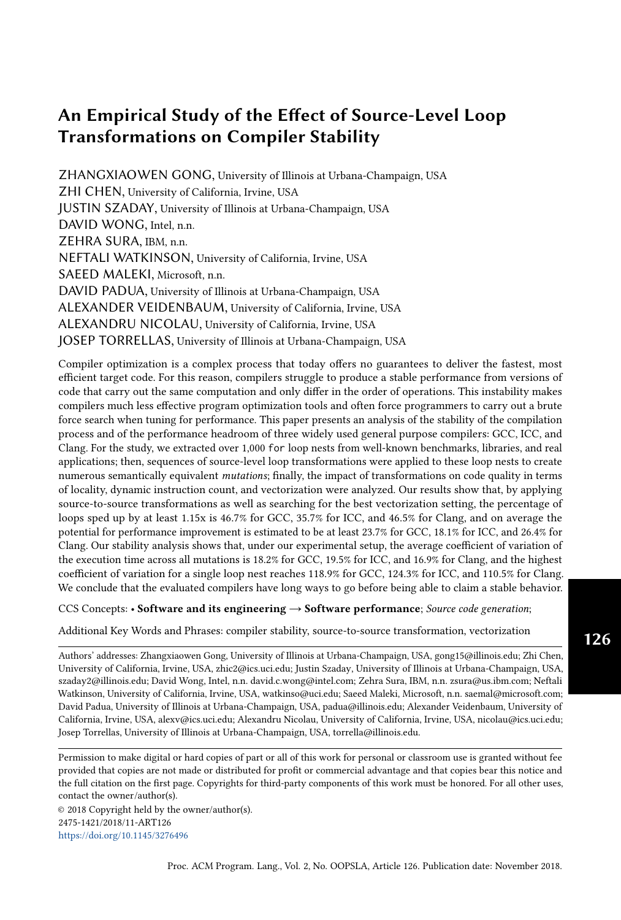depending on the compiler. We discuss the effect of transformations on specific loops to illustrate the complex ways in which they affect compiler output and the magnitude of the challenge faced by compiler writers in developing stable optimization strategies. For two of the transformations, we also propose ideas that may help compilers increase stability against them. The capability of the compilers' vectorizers is further evaluated by measuring the accuracy of their profitability model and investigating how source-level transformations affect the success rate and effectiveness of vectorization.

The rest of the paper is organized as follows. In Section [2,](#page-3-0) we describe how we extract loop nests and generate mutations from them. Sections [3](#page-6-0) and [4](#page-7-0) present the experimental settings and quantitative results, respectively. In Section [5,](#page-14-0) we analyze how different transformations affect performance. In Section [6,](#page-22-0) we further explore how vectorization settings impact performance. Finally, Section [7](#page-25-0) discusses related work, and Section [8](#page-26-0) presents our conclusions.

## <span id="page-3-0"></span>2 LOOP EXTRACTION AND MUTATION

In order to study compiler stability and performance headroom, we apply a variety of sourceto-source transformations to each for loop nest from an extensive collection. To carry out the transformations, the for loop in each of these nests is required to be able to transform into the canonical form

$$
for (i=1b; i<=ub; i+=step).
$$

We refer to such canonical form as "for loop" or simply "loop" in the rest of the paper unless specified otherwise. To build the collection of loops, an extractor outlines all qualified for loop nests from a variety of C language benchmark suites and libraries. Then, each loop nest is transformed by a mutator to generate various mutations. Finally, the execution time of each loop nest and of its mutations is measured, and the variation across mutations of each loop nest is computed.

We developed both the *extractor* and the *mutator* based on the *ROSE* source-to-source compiler infrastructure by [Quinlan](#page-28-5) [\[2000\]](#page-28-5). This section presents a short description of these two components. For more information, the reader is referred to [Chen et al.](#page-28-4) [\[2017\]](#page-28-4).

#### <span id="page-3-1"></span>2.1 The Extractor

The extractor encapsulates each for loop nest from an *original program* into a separate standalone program called a codelet. The extractor starts with finding all for loops in the original program by scanning the abstract syntax tree (AST). A for loop is skipped if it contains function call(s) other than standard math functions. If multiple for loops resemble a loop nest, the extractor identifies the outermost loop and generates a codelet for the entire loop nest only. Other types of loops such as while loops can be included as parts of a for loop's body, but our system does not processes them as the outermost loops of loop nests nor apply any transformation to them.

We choose to feed the codelets with the same data used in the original program to make both programs behave similarly as much as possible. To achieve that, the extractor instruments each loop nest to save the values of all read-only or write-after-read (WAR) variables in the loop right before executing the loop. Input data from global/static variables, heap, and stack are handled separately and will be restored to their corresponding locations when later executing the codelet. The loop bounds are recorded at run-time if their values are not constants. Finally, the instrumented original program is executed to create an input data file for each loop nest.

If a loop nest has multiple execution instances (e.g. being part of a function that is invoked multiple times), the extractor saves data from only one of the executions. This execution is chosen using the reservoir sampling algorithm, which grants each execution equal chance to be selected [\[Vitter](#page-29-3) [1985\]](#page-29-3).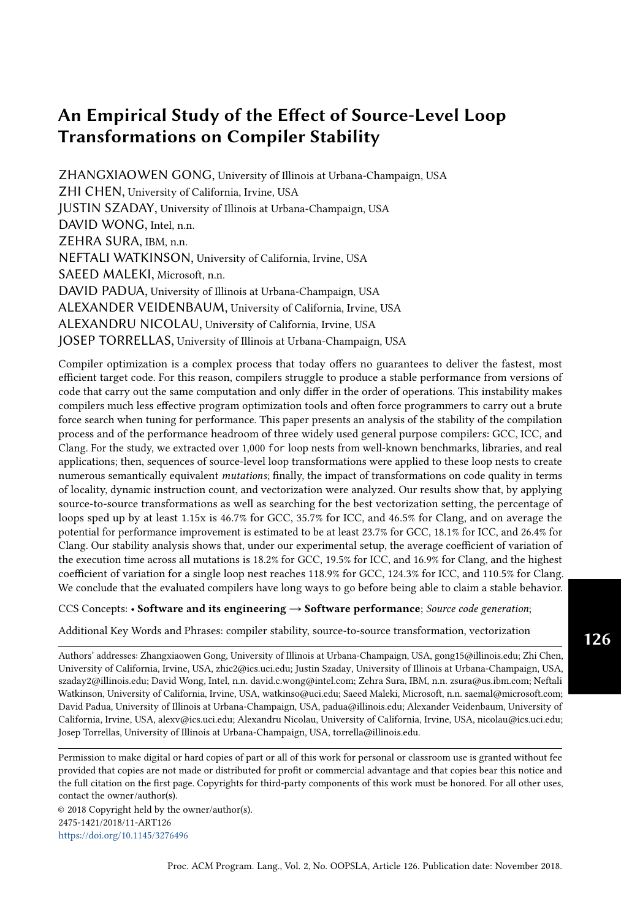To create the codelet, the extractor copies the source code of the loop nest from the original program and surrounds it with the following collection of operations:

- (1) Read the input data file and initialize variables and memory regions with the values they had during execution of the loop nest in the original program.
- (2) Record time using the RDTSCP instruction, which allows accurate timing measurements with a resolution of just two assembly instructions as reported by [Paoloni](#page-28-6) [\[2010\]](#page-28-6).
- (3) Read hardware performance counter values.
- (4) Use all the data that the loop nest produces to generate reduced values that are output to I/O so that the compilers do not remove operations as dead code. For a scalar variable, the codelet writes the variable value; for an integer array, the codelet writes the MD5 hash of the array; and for a floating point array, the codelet writes its sum reduction.
- (5) Repeatedly execute the loop nest 100 times and record the median of the execution time. Variables and memory regions are reinitialized before each re-execution.

The codelets are thus completely self-contained and ready for transformation by the mutator, compilation, and execution.

Although the source code and input for the extracted loop are replicated from the original program, the loop's behavior during the execution of the codelet may vary from its behavior during the execution of the original program. There are two reasons for this. First, the cache state will typically differ from the state during the execution of the original program. On the other hand, it will be consistent across re-executions of the loop in the codelet (except for the first execution). Second, some of the compiler's inter-procedural and/or inter-loop analysis may lead to changes in the optimization process. For example, the extractor outlines neighboring outermost loops into separate codelets and therefore disables any interaction between them, but a compiler may fuse them when compiling the original program. However, these differences are acceptable since our study focuses on how performance varies between the original codelet and its mutations. Thus, replicating the exact cache state and the optimizations applied on the original program is not essential because our goal is not to optimize the original program.

#### <span id="page-4-0"></span>2.2 The Mutator

The extracted loop nests in the form of codelets are processed using the mutator to create semantically equivalent mutations. The mutator applies sequences of source-to-source loop transformations that are constructed from interchange, tiling, unrolling, unroll-and-jam, and distribution. These relatively easy to implement transformations are among the best-known loop transformations, so they can be effortlessly added to any compiler if they are not currently present.

We imposed limitations on the transformation sequences because the number of mutations of a single loop nest may grow exponentially with the number of transformations and the number of possible parameters to each transformation [\[Tiwari et al.](#page-29-2) [2011\]](#page-29-2). These limitations ensured the number of mutations generated remained reasonable.

First, the mutator does not explore the transformation space exhaustively. Instead, it applies sub-sequences of transformations of the following sequences:

> $interchange$ ! unroll-and-jam! distribution! unrolling inter change ! tiling ! distribution ! unrolling

A sub-sequence can skip transformation(s) in the above sequences. For example, interchan  $e$ ! distribution is a valid sub-sequence. However, the order of transformation needs to be preserved. For instance, *distribution*  $\vert$  interchan  $e$  is never applied. We chose this ordering to ensure that transformations that only operate on perfectly nested loops (all assignment statements are contained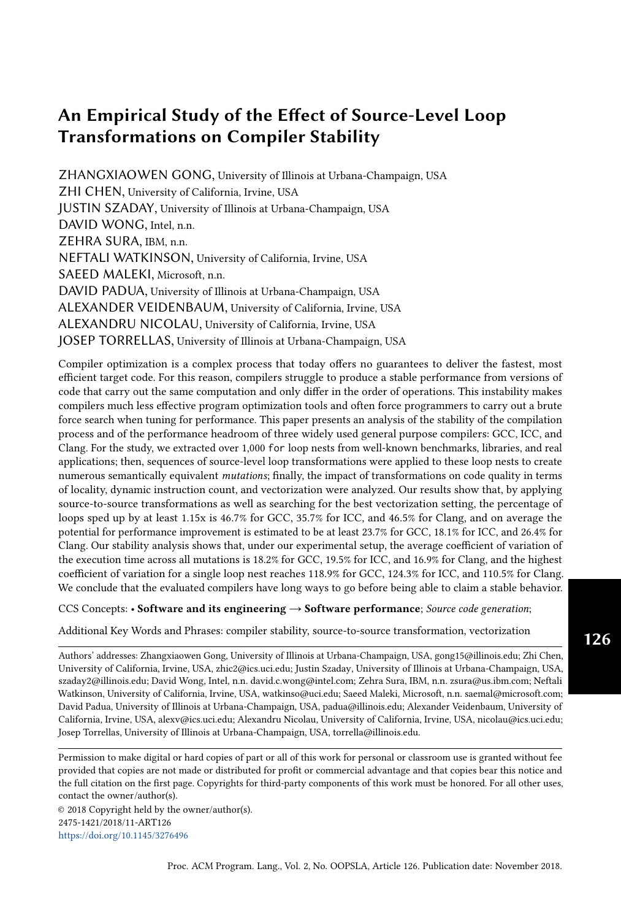in the innermost loop) due to the limitation of our tool, namely interchange, tiling, and unroll-andjam are not applied after any transformation that may render the loop nests imperfect, namely distribution, unrolling, and unroll-and-jam. The maximum length of transformation sequence is 4.

Second, we limit the parameters to each transformation. Table [1](#page-5-0) shows the transformations and their parameters. For interchange, we explore every possible permutation, and the parameter for it is a number denoting the permutation in lexicographical order. For tiling, we tile a single dimension only, and the parameters are the sizes used for strip mining plus the loop level that is strip-mined. For unrolling, we only unroll the innermost loop(s). If there are multiple loops at the innermost level, the mutator will unroll all of them the same number of times. For unroll-and-jam, we apply it at each non-innermost level, and the parameters are the loop level to be unrolled and the unroll factor. For distribution, we distribute statements in the innermost loop as much as possible based on the dependence analysis result; hence, distribution does not take any parameter. As presented in the parentheses in Table [1](#page-5-0) column 2, we only use selected tile sizes/unroll factors for tiling, unrolling, and unroll-and-jam. If the loop level being transformed has a static trip count that is smaller than one of the tile sizes/unroll factors, the transformation with the corresponding parameter is skipped. For example, the mutator does not apply unroll by 8 times on the loop for  $(i=0; i \leq 5; i=1)\{... \}$ , which has a static trip count of 6.

<span id="page-5-0"></span>

| Transformation | <b>Parameters</b>                   | Maximum # of varia-                   |  |  |
|----------------|-------------------------------------|---------------------------------------|--|--|
|                |                                     | tion                                  |  |  |
| Interchange    | Lexicographical permutation number  | depth!                                |  |  |
| Tiling         | Loop level, tile size 2 f8, 16, 32q | $depth \quad 3$                       |  |  |
| Unrolling      | Unroll factor 2 f2, 4, 8q           |                                       |  |  |
| Unroll-and-jam | Loop level, unroll factor 2 f2, 4q  | $1$ depth $1^\circ$<br>$\overline{2}$ |  |  |
| Distribution   | N/A                                 |                                       |  |  |

Table 1. Transformations and their parameters

Although these limitations confine the search space of transformation sequences to a manageable size for each loop nest, they also decrease the chance of finding the optimal transformation sequence for a loop nest. Therefore, in this study, we only aim at finding lower bounds for performance headroom and instability of the investigated compilers.

In addition to the imposed restrictions, the number of mutations is also limited by data dependence. Unrolling is the only transformation we use that is guaranteed to always be semantics-preserving (although additional care needs to be taken when continue, break, and/or goto is present in the loop body). To ensure the legality of the other four transformations, the mutator analyzes dependence through PolyOptC by [Pouchet](#page-28-7) [\[2011\]](#page-28-7), which provides an interface between ROSE and the polyhedral model based dependence analyzer Candl by [Bastoul and Pouchet](#page-27-1) [\[2012\]](#page-27-1). The mutator applies only unrolling to loops that *Candl* cannot analyze due to the loops being unable to be expressed in polyhedral forms, such as loops with non-affine expressions in array subscripts. Therefore, all generated mutations are guaranteed to preserve the original semantics in theory. In practice, in order to counteract any potential bug in the mutator or the compilers, we also added a second layer sanity check. As described in Section [2.1,](#page-3-1) a codelet writes the reduction of all of the loop's output to I/O. After executing the original loop nest and its mutations, we compare their outputs to verify semantic equivalence. Although this method may produce false positives or false negatives, we found it sufficient during our experiments.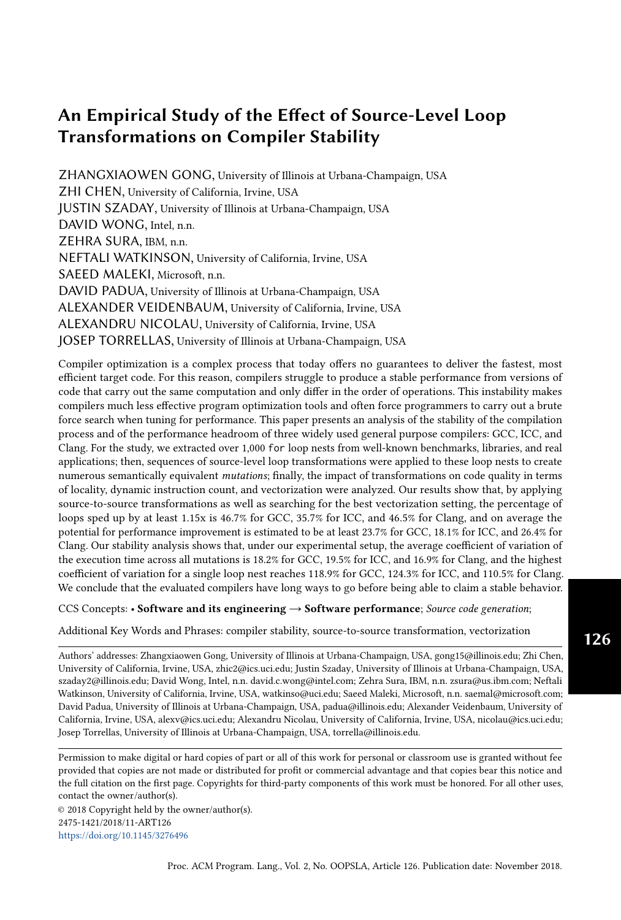The nesting depth and the dependence graph of a loop nest determine how many mutations are produced from it. Among the loops that we studied, up to 1,680 mutations were created from a single loop nest.

## 2.3 Collection of Loop Nests and Their Mutations

We extracted 3,197 loop nests from various sources for this study, such as: benchmarks, audio/video codecs, deep learning libraries, and machine learning kernels. The first column in Table [2](#page-6-1) lists the sources that we extracted the loop nests from. For the benchmarks, we used the default dataset during extraction except for SPEC and NPB. We used the "ref" dataset for SPEC and the "CLASS=B" dataset for NPB. For the libraries, we used the test data that they provided. In total, we produced 100,219 mutations from the 3,197 codelets; however, we only study the results from loops whose execution time exceeded 1,000 cycles. The final number of loops and mutations that we studied will be discussed in Section [4.](#page-7-0)

<span id="page-6-1"></span>

| Benchmark                                          | # of loops (# of mutations) |             |             |  |
|----------------------------------------------------|-----------------------------|-------------|-------------|--|
|                                                    | GCC                         | <b>ICC</b>  | Clang       |  |
| ALPBench [Li et al. 2005]                          | 24 (72)                     | 22 (66)     | 31 (129)    |  |
| ASC Sequoia [LLNL 2008]                            | 22 (350)                    | 21 (347)    | 22 (350)    |  |
| Cortexsuite [Thomas et al. 2014]                   | 60 (1060)                   | 57 (791)    | 62 (1042)   |  |
| FreeBench [Rundberg and Warg 2002]                 | 38 (242)                    | 31(141)     | 39 (245)    |  |
| Parallel Research Kernels (PRK) [Van der Wijngaart | 36 (286)                    | 23 (189)    | 34 (261)    |  |
| and Mattson 2014]                                  |                             |             |             |  |
| Livermore Loops [Peters 1992]                      | 53 (1443)                   | 51 (1436)   | 57 (1612)   |  |
| MediaBench II [Fritts et al. 2009]                 | 152 (773)                   | 120 (532)   | 183 (1279)  |  |
| Netlib [Browne et al. 1995]                        | 25(207)                     | 21(195)     | 24 (204)    |  |
| NAS Parallel Benchmarks (NPB) [Bailey et al. 1991] | 196 (52259)                 | 195 (52244) | 198 (52350) |  |
| Polybench [Pouchet 2012]                           | 90 (3574)                   | 91 (3589)   | 91 (3589)   |  |
| SPEC 2000 [Henning 2000]                           | 122 (1263)                  | 125 (1272)  | 129 (1337)  |  |
| SPEC 2006 [Henning 2006]                           | 102 (421)                   | 103(425)    | 129 (907)   |  |
| Extended TSVC [Maleki et al. 2011]                 | 149 (1955)                  | 149 (1955)  | 149 (1943)  |  |
| Machine learning kernels [Redmon 2016]             | 27(177)                     | 27(177)     | 21(123)     |  |
| Libraries [GAP 2007; LAME 2017; Mozilla 2017;      | 145 (1735)                  | 139 (1569)  | 97 (1023)   |  |
| TwoLAME 2017; xiph.org 2017]                       |                             |             |             |  |
| Subtotal                                           | 1241                        | 1175        | 1266        |  |
|                                                    | (65817)                     | (64928)     | (66392)     |  |
| Execute for over 1,000 cycles for all 3 compilers  | 1061 (63902)                |             |             |  |

Table 2. The numbers of loop nests and their mutations included in the study

Different benchmark applications may have similar loops (e.g. matrix multiplication kernel). We did not attempt to group similar loops and pick one to represent the group, so the results may bias towards larger clusters of similar loops. However, we believe it is acceptable because it applies a natural weight on the loop types that are more common and thus need more attention.

## <span id="page-6-0"></span>3 EXPERIMENTAL SETUP

We used the loop nests and their mutations to evaluate recent versions of three widely used compilers: GNU Compiler Collection (GCC) 6.2.0, Intel C++ Compiler (ICC) 17.0.1, and LLVM C Compiler (Clang) 4.0.0.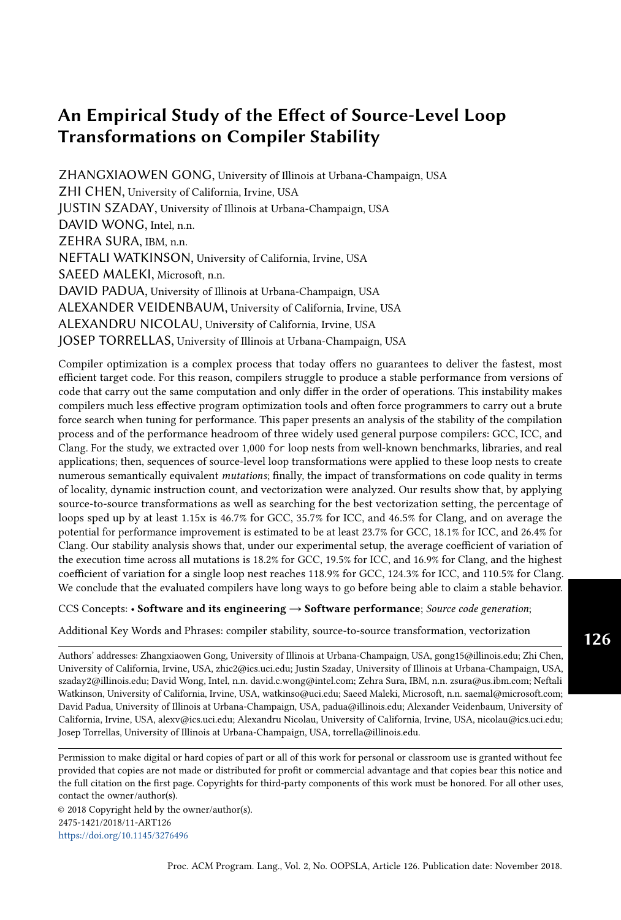The experiments were conducted on an Intel Xeon E5-1630 v3 processor (Haswell microarchitecture, 32KB/32KB private L1 data/instruction cache, 256KB private L2 cache, 10MB shared L3 cache) with 32GB DDR4 2133 RAM. The CPU is equipped with an invariant time stamp counter (TSC) so that the readout from RDTSCP is accurate regardless of ACPI P-, C-, and T-states according to [Intel](#page-28-21) [\[2016\]](#page-28-21). To achieve stable results, all executions were assigned to the same core with dynamic frequency scaling, Intel Hyper-Threading, C-State higher then one, and TurboBoost technologies disabled. The experimental results from a single machine setup are sufficient to provide an estimation of compiler stability and performance headroom since we believe similar traits may exist on other systems. However, doing experiments on a single hardware setup tends to add measurement bias towards certain compiler(s) [\[Mytkowicz et al.](#page-28-22) [2009\]](#page-28-22). As a result, the difference in the tested compilers' stability and performance headroom reported by our results should not be considered as a conclusive comparison of the compilers' quality because such difference may vary on other systems. In the future, conducting further experiments on additional machine setups may reduce the measurement bias, providing more comprehensive conclusions.

When compiling the loop nests and their mutations, we turned on the following switches in addition to -O3:

GCC: -ffast-math allows breaking strict IEEE compliance so that floating point operations can be reordered; -funsafe-loop-optimizations tells the loop optimizer to assume that loop indices do not overflow, and that loops with nontrivial exit condition are not infinite; -ftree-loop-if-convert-stores allows if-converting conditional jumps containing memory writes;

ICC: -restrict and -ipo help with alias analysis;

Clang: -ffast-math provides similar benefit as that in GCC; -fslp-vectorize-aggressive enables a second basic block vectorization phase.

We instructed all three compilers to optimize for the native architecture, which supports vector extensions up to AVX2, and let the compilers' default vectorization profitability models determine when to vectorize loops.

### <span id="page-7-0"></span>4 RESULTS

This section presents the main results of our study. In Section [4.1,](#page-7-1) we report the performance of the code generated by the evaluated compilers from the original loop nests. We discuss the effect of the source-to-source transformations applied by the mutator on performance in Section [4.2,](#page-8-0) evaluate the effect of each transformation in Section [4.3,](#page-10-0) discuss the effect of mutations on different benchmarks in Section [4.4,](#page-11-0) and finally propose metrics to measure compiler stability and performance convergence in Section [4.5](#page-11-1) and [4.6,](#page-13-0) respectively.

#### <span id="page-7-1"></span>4.1 Baseline Performance

Table [2](#page-6-1) lists, for each of the three compilers considered, the number of loops and and the number of mutations used for the part of the study presented in this section. Recall that we require the execution time of a loop nest to be at least 1,000 cycles; therefore, only between 1,175 and 1,266 loop nests are used for evaluating each of the three compilers.

To compare the effect of the compilers on the baseline loops, we only consider the 1,061 loops whose execution time is longer than 1,000 cycles for all three compilers. On average, the code generated by GCC and Clang is 1.06x and 1.27x slower respectively than that by ICC; however, they generate code that outperforms ICC's by at least 15% in 174 and 114 cases, respectively. Therefore, the optimal compiler for each loop varies. We chose a 15% threshold because it is a meaningful difference, even with experimental timing noise; this threshold was also used by [Maleki et al.](#page-28-16) [\[2011\]](#page-28-16).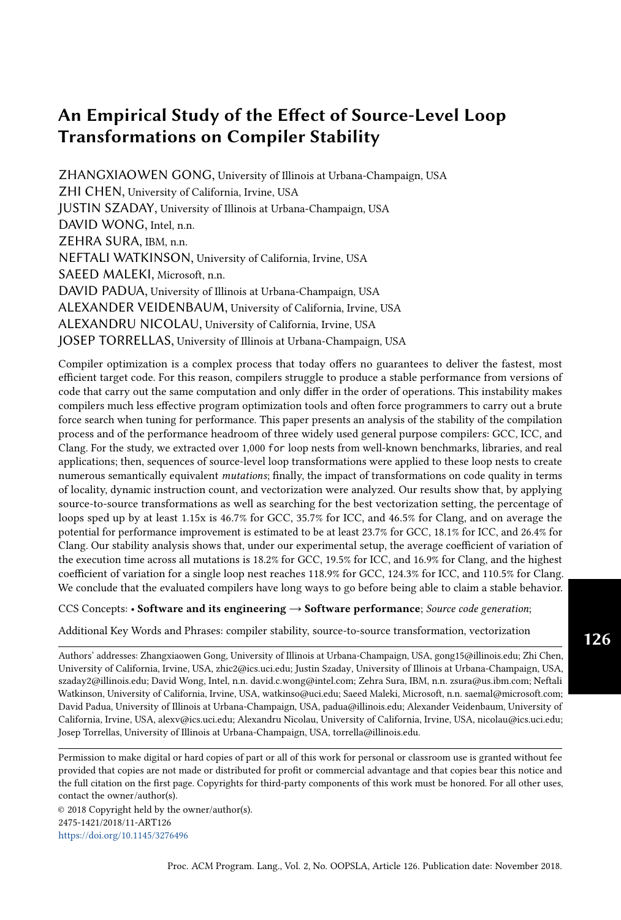#### <span id="page-8-0"></span>4.2 Overall Impact of Our Collection of Mutations on Performance

We calculate the speedup of a loop nest l's fastest mutation over its baseline by

$$
speedup^{10} = \frac{min^{1}t^{10}}{t^{10}} = \frac{t^{10}}{t^{10}}
$$
 (1)

In the formula,  $t_{baseline}^{^{1P}}$  and  $t_{mutationik}^{^{1P}}$  are the execution times *mutationsik* are the execution times of a compiler's outputs of baseline loop<br> $\int_{a}^{\infty}$  all negativeles and  $n!^{p}$  is the number of mutations appended from l and its mutation  $i \geq 0, n^{10}$  <br>has line loop l, which varies depending on the loop. We see that, on average, the fastest mutation<br>has elime loop l, which varies depending on the loop. We see that, on average, the fast baseline loop l, which varies depending on the loop. We see that, on average, the fastest mutation of a loop is 1.11x, 1.05x, and 1.16x faster than the baseline for GCC, ICC, and Clang respectively, as shown in Table [3](#page-8-1) row 2. Also, the standard deviations of speedup are 1.02 1.04, suggesting that the range of speedup is significant.

Table 3. General statistics of mutations' performance impact

<span id="page-8-1"></span>

|                |                                                                  | <b>GCC</b>  | <b>ICC</b>              | Clang       |
|----------------|------------------------------------------------------------------|-------------|-------------------------|-------------|
|                | $#$ of loops studied (L)                                         | 1241        | 1175                    | 1266        |
|                | $\mu_a$ ( $\alpha$ ) of the fastest mutation to baseline speedup | 1.11(1.02)  | 1.05(1.04)              | 1.16(1.03)  |
| 3              | average lower bound of performance headroom                      | 16.7%       | 13.8%                   | 20.9%       |
|                | $\#$ (%) in L that have beneficial mutation(s)                   | 402 (32.4%) | $304(25.9\%)$           | 463 (36.6%) |
| 5 <sup>1</sup> | $\#(\%)$ in L that have all mutations unfavorable                | 89 (7.2%)   | $188(16.0\%)$ 73 (5.8%) |             |
|                |                                                                  |             |                         |             |

We report the average lower bound of performance headroom by applying source-to-source transformations in row 3, which is calculated by

headroom ¹¹ Ö<sup>L</sup> min¹t ¹lº basel ine ,t ¹lº mut at ion»0<sup>¼</sup> , ...,t ¹lº mut at ion»n <sup>¹</sup>l<sup>º</sup> 1¼ º ¹lº º 1 <sup>L</sup> 1º -100% (2)

When computing the lower bound of headroom, if all mutations are slower than the baseline,<br>When computing the lower bound of headroom, if all mutations are slower than the baseline, we consider it to be 0%. On average, the performance of a loop nest has a headroom of at least 13.8% 20.9%, depending on the compiler.

Next, we assign categories to each of the mutations based on their impact on performance. We consider mutations that generate code 15% faster than the baseline to be *beneficial* and those that generate code that is 15% slower than the baseline to be unfavorable mutations, the rest are considered to be neutral.

As shown in row 4, the percentage of loops with at least one beneficial mutation ranges from 25.9% (ICC) to 36.6% (Clang). This suggests that Clang benefits more from source-level transformations than ICC, with GCC sitting somewhere between the two. On the other hand, as shown in the last row, the percentage of loops that only have unfavorable mutations is much higher for ICC (at 16.0% vs. 5.8% (Clang) and 7.2% (GCC)).

Focusing on loops with beneficial mutations, we get the distribution of speedups shown in Figure [1.](#page-9-0) The plots reveals that for all three compilers, although the majority of the speedups are below 2x, a number of loops receive an over 2x speedup. In fact, there are loops with speedups as high as 20x; however, we found that most speedups over 6x are due to pathological scalar optimization after unrolling. For example, after the mutator unrolls a loop from TSVC 8 times, Clang decides to further fully unroll the loop and pre-calculates most of the scalar operations at compile time, accelerating the loop by 20x. Nevertheless, there is a case where interchange facilitated better locality and vectorization to help a loop nest from TSVC gain 15x performance with Clang.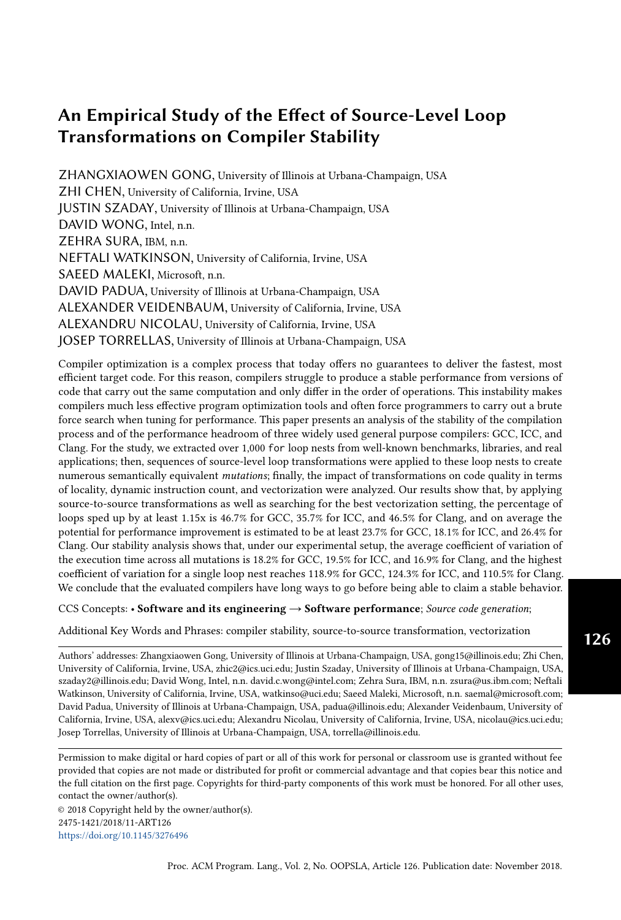While ICC has fewer loops that are sped up by the source-to-source transformations, the number of loops that have an over 3x speedup is comparable to Clang's and is much greater than GCC's. Furthermore, both ICC and Clang on average obtain a 1.54x maximum speedup for the loops with beneficial mutation(s) whereas GCC on average can only attain a 1.46x maximum speedup for loops in that category.

<span id="page-9-0"></span>

Fig. 1. Distribution of loops with beneficial mutation(s) and their speedup

Next, we consider loops where all mutations are unfavorable. Figure [2](#page-9-1) shows the distribution of loops at various slowdown ranges. The average slowdown for these cases are 1.56x, 1.54x, and 1.49x for ICC, GCC, and Clang, respectively. It turns out that most slowdown factors are less than 2x, but for several loops, slowdowns are greater than 4x and can be up to 14x in extreme cases. Considering that every loop has a mutation as simple as unrolling by two, these results are surprising. After examining the extreme cases, we learned that large slowdowns are often tied to a sharp increase in instruction count, implying that the compilers generate inefficient code when faced with harmful mutations.

<span id="page-9-1"></span>

Fig. 2. Distribution of loops with all mutations unfavorable in different slowdown range

Table [4](#page-10-1) lists the statistics of the length of transformation sequence that produces the fastest beneficial mutation for a loop. For all three compilers, over 75% of the best mutations only have one transformation, and as the length of the transformation sequence increases, the resulting mutations become less likely to produce the best performance. Typically when multiple transformations are applied to a loop nest, its structure turns more complicated; therefore, the results indicate that the

Proc. ACM Program. Lang., Vol. 2, No. OOPSLA, Article 126. Publication date: November 2018.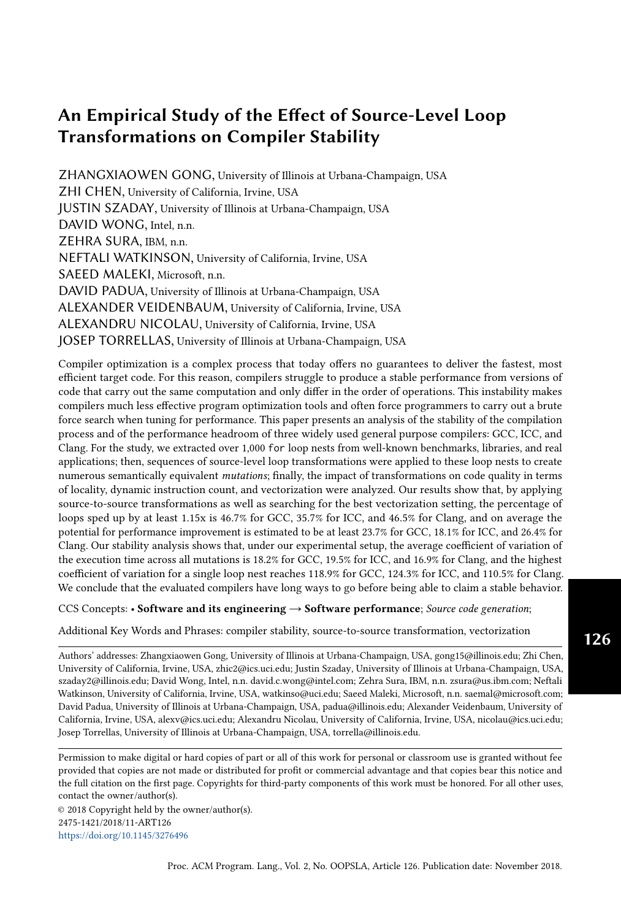compilers optimize simpler loop bodies better than more complex ones. We also noticed that in a substantial number of cases, the best parameters to a combined transformation are different from the best parameters to the individual transformation that the combined transformation consists of. For example, when only unrolling is applied to a loop nest, the best unroll factor is determined to be 4 after performance measurement, but when performing unrolling after interchange, the best unroll factor may becomes 8. This phenomenon makes determining the best transformation sequence to a loop nest harder because an orthogonal search in the transformation space may less likely yield the best result.

<span id="page-10-1"></span>Table 4. Statistics of the length of transformation sequence that produces the best beneficial mutation for a loop

| <b>Transformation</b> | $#$ (%) in the best beneficial mutations |               |              |  |  |
|-----------------------|------------------------------------------|---------------|--------------|--|--|
| sequence length       | <b>GCC</b>                               | Clang         |              |  |  |
|                       | 316 (78.6%)                              | $228(75.0\%)$ | 351 (75.8%)  |  |  |
|                       | 62 $(15.4\%)$                            | 55 (18.1%)    | 101 (21.8%)  |  |  |
| ≘                     | $24(6.0\%)$                              | $21(6.9\%)$   | 11 $(2.4\%)$ |  |  |
|                       | $0(0.0\%)$                               | $0(0.0\%)$    | $0(0.0\%)$   |  |  |

## <span id="page-10-0"></span>4.3 Impact on Performance of Each Transformation

Table [5](#page-10-2) shows the statistics of the performance impact from each loop transformation. If a transformation  $\overline{T}$  is legal for a given loop nest, the performance of the mutation that is the result of applying only  $\bar{I}$  with the parameters that produce the highest performance is used in the calculation of the statistics for  $T$ . Note that the fastest variant of a transformation may still be slower than the baseline. The table reports the geometric mean and standard deviation of speedup as well as the percentage of the loop nests that have at least a variant of the transformation that is beneficial. In general, all three compilers react to the same transformation similarly with some exceptions that are highlighted in the table. The exceptions are:

- (1) While GCC and Clang on average show a speedup from unrolling, ICC shows a slowdown.
- (2) Distribution is able to help ICC much more than it can help the other two compilers.
- (3) Unroll-and-jam and tiling can speed up significantly more loops for Clang than for ICC and GCC.
- (4) Compared with GCC and Clang, ICC has less loops that benefit from interchange, unrolling, and unroll-and-jam, but more loops that benefit from distribution.

<span id="page-10-2"></span>

| Transformation |            | $\mu_a$ of speedup |       | $_a$ of speedup |            |       | % of loops benefited |            |       |
|----------------|------------|--------------------|-------|-----------------|------------|-------|----------------------|------------|-------|
|                | <b>GCC</b> | <b>ICC</b>         | Clang | <b>GCC</b>      | <b>ICC</b> | Clang | <b>GCC</b>           | <b>ICC</b> | Clang |
| Interchange    | 0.66       | 0.69               | 0.63  | 1.06            | 1.05       | 1.07  | 9.0%                 | 6.4%       | 9.0%  |
| Tiling         | 0.83       | 0.91               | 0.94  | 1.03            | 1.03       | 1.05  | 9.5%                 | 9.2%       | 16.2% |
| Unrolling      | 1.06       | 0.97               | 1.09  | 1.03            | 1.04       | 1.05  | 25.8%                | 18.0%      | 29.6% |
| Unroll & jam   | 1.01       | 1.02               | 1.10  | 1.02            | 1.06       | 1.04  | 22.7%                | 16.2%      | 32.4% |
| Distribution   | 1.12       | 1.25               | 1.05  | 1.06            | 1.11       | 1.04  | 27.9%                | 34.0%      | 27.0% |

Table 5. Statistics of speedup from different transformations

While unrolling, unroll-and-jam, and distribution increase performance on average, the other two transformations, interchange and tiling, produce a slowdown on average. The intuitive reason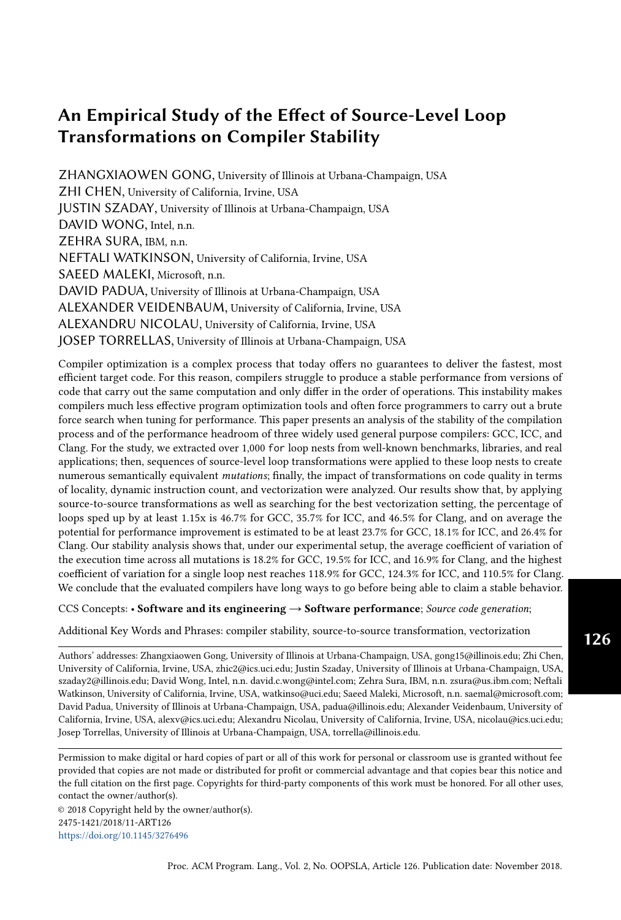is that most loops are already written with good locality, so altering the loop shape may lead to sub-par results from unstable compilers. Nonetheless, 6.4% 9.0% of the interchanged mutations and 9.2% 16.2% of the tiled mutations were beneficial, depending on the compiler.

## <span id="page-11-0"></span>4.4 Effects of Mutations on Each Benchmark

Figure [3](#page-11-2) shows the average speedup achieved by the best mutations over their baselines grouped by benchmark and compiler.

Transformations produce diverse effect on different compilers. In general, there are mutations that produce speedup with GCC and Clang for the loops in most of the benchmarks except for ALPBench, Intel PRK, and the machine learning kernels, for which very little speedups or slowdowns are obtained. On the other hand, there is less room to improve the performance of the code generated by ICC across all benchmarks. This is mainly because ICC is more aggressive in optimization compared with the other compilers. It affects the results in two ways, (I) heavy optimization may leave less room for improvement, (II) ICC may sometimes undo source-level transformations. There are cases where it re-rolls or permutates the loop back after we apply unrolling or interchange on a loop.

<span id="page-11-2"></span>

Fig. 3. Average speedup that the fastest mutations achieve from different benchmarks

The average speedup surpasses 1.15x for the following benchmark-compiler combinations: GCC on netlib (1.35x), TSVC (1.18x) and libraries (1.25x); ICC on ASC-llnl (1.15x) and libraries (1.21x); Clang on livermore (1.15x), mediabench (1.18x), NPB (1.17x), TSVC (1.22x), and libraries (1.21x).

## <span id="page-11-1"></span>4.5 Intra-compiler Stability

We would expect a *perfect* compiler to be able to undo unfavorable transformations and apply beneficial transformations to any mutation of a loop. We would call such a compiler stable, since it would produce the same performance for any mutation of a given loop. We do not expect a perfectly stable compiler to be built in the near future, and perhaps it will never be built. Nonetheless, we hope that it will be possible to get very close to the perfect compiler, and the first step towards it is to quantitatively measure the stability of compilers. Therefore, we devised the following intra-compiler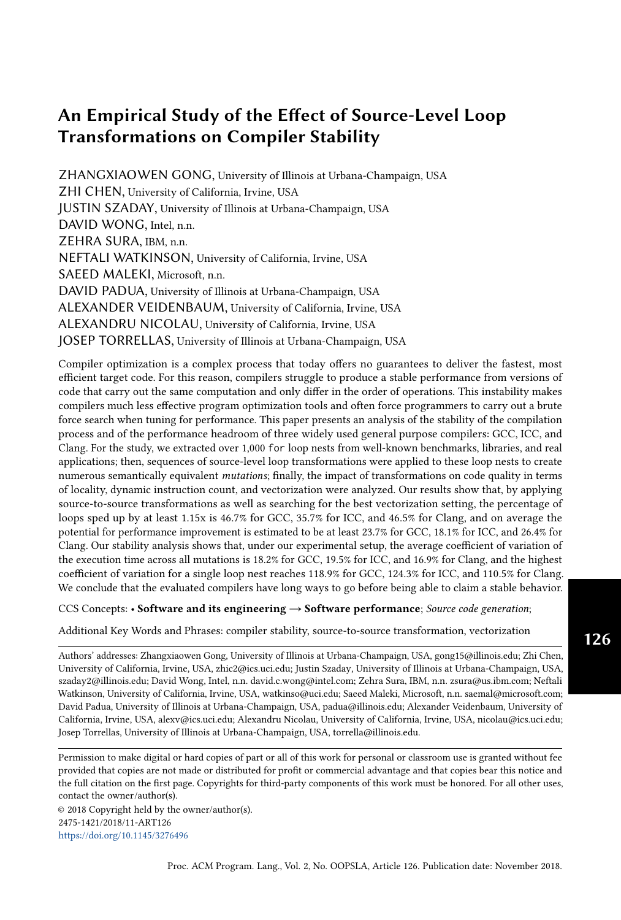stability score  $S<sub>intra</sub>$ :

$$
S_{intra}^{1l^{\circ}} = C_{v} 1 t^{1l^{\circ}} = \frac{1 t_{baseline}^{1l^{\circ}} t_{matation}^{1l^{\circ}}}{\mu^{1} t_{baseline}^{1l^{\circ}} t_{matation}^{1l^{\circ}} \dots, t_{mutation}^{1l^{\circ}} t_{m (intation n^{1l^{\circ}} 1)^{\circ}}^{1l^{\circ}}}
$$
  

$$
S_{intra} = \frac{1}{L} \sum_{l=1}^{L} S_{intra}^{1l^{\circ}} \tag{3}
$$

We compute  $S_{intra}^{l^o}$ , the intra-compiler stability of an individual loop *l*, as the coefficient of variation of the execution time of its *n* mutations and its baseline. The coefficient of variation is calculated of the execution time of its  $n$  mutations and its baseline. The coefficient of variation is calculated by scaling the standard deviation of execution time with the average execution time; thus, it approaches 0 if a compiler produces perfectly stable performance for a given loop semantics. We further calculate the intra-compiler stability score of a set of L loops by taking the mean of  $S_{lin}^{l^p}$ <br>for all  $l^p_l l^p$  The stability score has no absolute meaning by itself. Instead, it can be used to compo for all  $l$  2 L. The stability score has no absolute meaning by itself. Instead, it can be used to compare<br>the stability of different compilers or to track the change in stability between different versions of the stability of different compilers or to track the change in stability between different versions of a given compiler.

The intra-compiler stability score reflects a compiler's ability to recognize optimization opportunities. For example, a stable compiler would interchange back a loop that was interchanged by the mutator if this reversal improves memory access patterns and/or creates vectorization opportuni-ties. Table [6](#page-12-0) presents the  $S_{intra}$  and the highest  $S_{intra}^{[l]}$  calculated from all possible transformation<br>sequences as well as from individual transformations. Because all transformations are not valid for sequences as well as from individual transformations. Because all transformations are not valid for all loops, the table also lists the number of loops included for calculating the stability score for each transformation. In each row, the compiler that produces the highest  $S_{intra}$  is highlighted. When considering all transformation sequences generated by the mutator, the scores are 0.195, 0.182, and 0.169 for ICC, GCC, and Clang respectively. By definition, a higher stability score reflects greater instability; therefore, among the compilers we tested, ICC is the most unstable overall and Clang is the most stable, with GCC somewhere in between them.

Although the stability score suggests that Clang is more stable than the other two compilers, earlier in Section [4.2](#page-8-0) we showed that source-to-source transformations are, on average, more beneficial for Clang than they are for the other two compilers. Intuitively, this may be because Clang is younger than the other two compilers, so it has a less aggressive and brittle optimization process. This means that it is more stable for the limited set of transformations that we applied in general; however, it benefits more from better structured source code because of its relatively naïve optimization process. Consequently, the mutations compiled by Clang may have a lower performance variation but skew more towards speeding up the original loop.

| <b>Transformation</b>  | # of loops | (highest $S_{intra}^{l}$ )<br>$S_{intra}$ |              |              |  |
|------------------------|------------|-------------------------------------------|--------------|--------------|--|
|                        | included   | GCC<br><b>ICC</b>                         |              | Clang        |  |
| All possible sequences | 1061       | 0.182(1.189)                              | 0.195(1.243) | 0.169(1.105) |  |
| Interchange            | 169        | 0.355(0.866)                              | 0.348(0.879) | 0.385(0.881) |  |
| Tiling                 | 430        | 0.209(1.036)                              | 0.208(1.169) | 0.190(1.176) |  |
| Unrolling              | 1061       | 0.097(1.175)                              | 0.123(0.893) | 0.099(0.788) |  |
| Unroll & jam           | 177        | 0.112(0.511)                              | 0.107(0.524) | 0.137(0.571) |  |
| Distribution           | 106        | 0.111(0.508)                              | 0.140(0.681) | 0.099(0.523) |  |

<span id="page-12-0"></span>Table 6. Stability scores for different transformations with the most unstable compiler being highlighted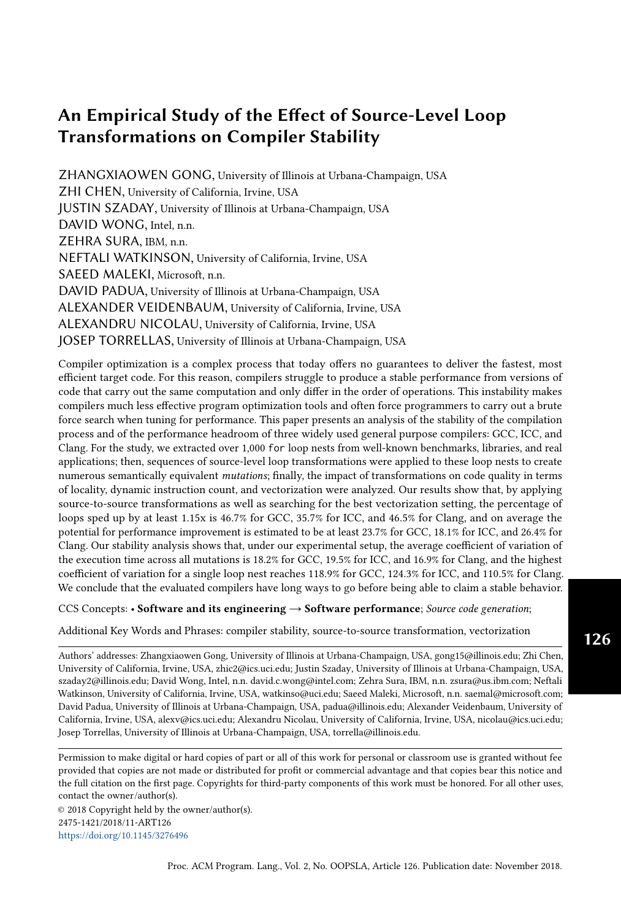We can make more interesting observations based on the stability scores of individual transformations. For interchange, the scores from all three compilers are much higher than their overall scores, indicating that interchange produces significant performance variations. Also, Clang is the least stable when dealing with different permutations of a loop nest, and ICC is the most stable one against interchange. We believe it is due to ICC having a higher tendency to permute the loop nests, as mentioned in Section [4.3.](#page-10-0) For tiling, the stability scores for ICC and GCC are comparable, but the score for Clang is noticeably lower. For unrolling, unroll-and-jam, and distribution, the stability scores for all three compilers are significantly lower than their overall scores; thus, these three transformations cause less performance variations than the other two. Nevertheless, ICC appears to be less stable than the other two compilers against unrolling and distribution, and Clang is less stable when dealing with unroll-and-jam. The per-transformation results suggest that different compilers may have strengths and weaknesses in terms of stability when facing different source-level transformations.

To demonstrate the instability, we plot in log scale the ratio of the execution time of each loop's fastest mutation and its slowest one (Figure [4\)](#page-13-1). The performance differences are taken from the 1,061 loops that are shared by all three compilers and then sorted for each compiler separately; thus, the data points at the same x location do not necessarily represent the same loop. The plot clearly shows that ICC typically has the highest performance difference while Clang has the lowest when taking all transformation sequences into consideration.

<span id="page-13-1"></span>

Fig. 4. Performance difference between each loop's best-to-worst mutations

Our results show that all three compilers have significant best-to-worst performance difference for most of the loops, and the difference can be as high as 29x. Therefore, the compilers still have a long way to go before being stable.

#### <span id="page-13-0"></span>4.6 Inter-compiler Stability

In Section [4.1,](#page-7-1) we mentioned that the performance of the code generated by the three compilers from the same loop may vary, meaning that apart from the intra-compiler stability that we discussed earlier, there is an additional inter-compiler stability to be concerned about. To quantify it, we propose an *inter-compiler stability score*  $S_{inter}$  to measure how close the effectiveness of the

Proc. ACM Program. Lang., Vol. 2, No. OOPSLA, Article 126. Publication date: November 2018.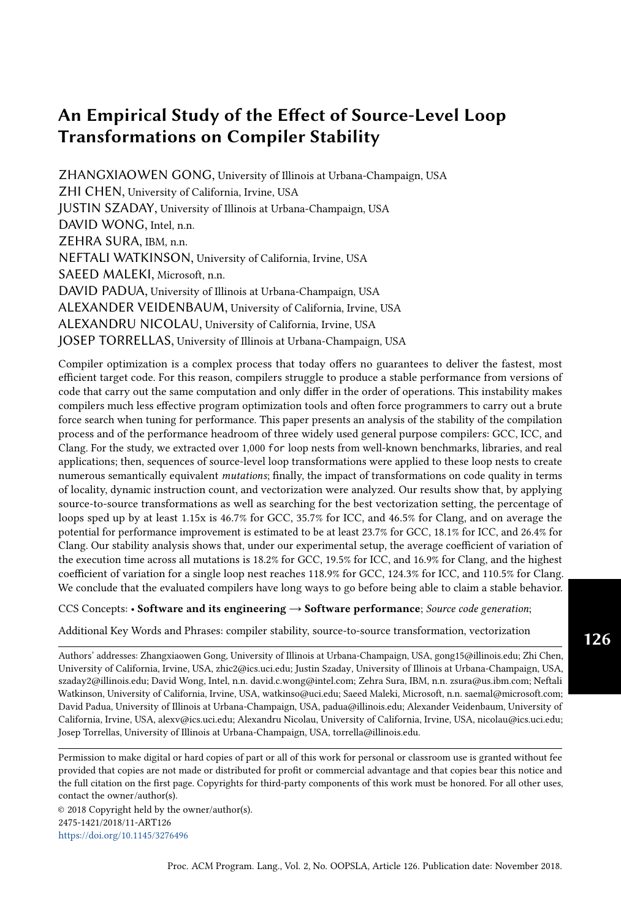optimization processes of a set of compilers is, as given by,

$$
S_{inter} = \frac{1}{L} \sum_{l=1}^{\infty} \frac{1 \dot{t}_C^{\mu_0}}{\mu^{\dagger} \dot{t}_C^{\mu_0}} \quad C \quad 2 \quad f \quad 2 \quad f \quad C \quad C, \quad Cl \quad \text{an} \quad g \tag{4}
$$

In the formula,  $t_C^{l^p}$  is the execution time of baseline loop *l* compiled by compiler *C*. Like the S<sub>intra</sub>,  $S_{inter}$  is an average of coefficient of variation.  $S_{inter}^{l^o}$  of an individual loop *l* is computed by first taking the standard deviation of the execution time of the code generated by each compiler and taking the standard deviation of the execution time of the code generated by each compiler and then scaling it using the average execution time of the generated code, so it measures how close the performances of their generated code are.  $S_{inter}$  of a set of loops L is the average of  $S_{inter}^{lp}$  where<br>1.2.1. The score is meaningful only when used in comparison, and a lower  $S_{inter}$  means closer  $l$  2 L. The score is meaningful only when used in comparison, and a lower  $S<sub>inter</sub>$  means closer performance. By comparing  $S_{inter}$  of different generations of the same set of compilers, one can track the progression of compiler stability in a bigger picture. However, in this paper we study only a single version of each compiler, so we use the score for another purpose: to investigate how source-to-source transformations impact inter-compiler stability. We define the post-transformation inter-compiler stability score  $S_{inter}^0$  as:

0¹lº <sup>=</sup> minC¹<sup>t</sup> ¹lº baseline,t ¹lº mutation»0¼ , . . . ,t ¹lº mutation»n <sup>¹</sup>l<sup>º</sup> 1¼ º 0 inter <sup>=</sup> 1 Õ<sup>L</sup> l=1 ¹t 0¹lº C º µ¹t 0¹lº º C 2 fGCC, ICC,Clan <sup>g</sup> (5)

When calculating  $S^{0}$ <sup> $\rho$ </sup><sub>inter</sub> for a single loop, instead of using the execution time of the baseline<br>on we use the execution time of the fastest mutation, or when all mutations are unfavorable loop, we use the execution time of the fastest mutation, or when all mutations are unfavorable, the baseline loop. Note that the fastest mutation of a given loop can vary when compiled by different compilers. For example, while interchange helps GCC to achieve the best performance for a loop, unroll-and-jam can be the key performance enhancer for ICC for the same loop. Therefore, *Inter*<br>transformation.  $\int_{inter}^{\theta}$  calculates the inter-compiler stability as if the compilers have incorporated the proper<br>ransformation

From our results, the baseline  $S_{inter}$  is 1.39, and the post-transformation  $S_{inter}^0$  is 0.96. The ver  $S_0^0$  tells that by applying simple source-to-source transformations, the performance gap lower  $S_{inter}^0$  tells that by applying simple source-to-source transformations, the performance gap<br>among the code generated by various compilers is narrowed; hence, source-level transformations among the code generated by various compilers is narrowed; hence, source-level transformations can help the compiler that lags behind catch up. We call this phenomenon the convergence effect. Furthermore, as discussed earlier, the majority of the best performing mutations undergo only one transformation, indicating that the compiler that falls behind may improve its effectiveness relatively easily.

#### <span id="page-14-0"></span>5 EFFECT OF TRANSFORMATIONS

To aid compiler developers in the design of more stable compilers, we studied the effects of sourcelevel transformations on today's compilers. In this section, we investigate how each of the five source-to-source transformations applied by the mutator impacts performance by computing the correlation coefficient between performance change and each of a number of hardware performance counter readouts. If a strong correlation between performance and a metric is discovered for a transformation, we can derive the dominant effect produced by the transformation and therefore pinpoint the deficiency in the compilers that causes the instability. In addition, we also present a few case studies illustrating the complexity of interaction between the transformations applied by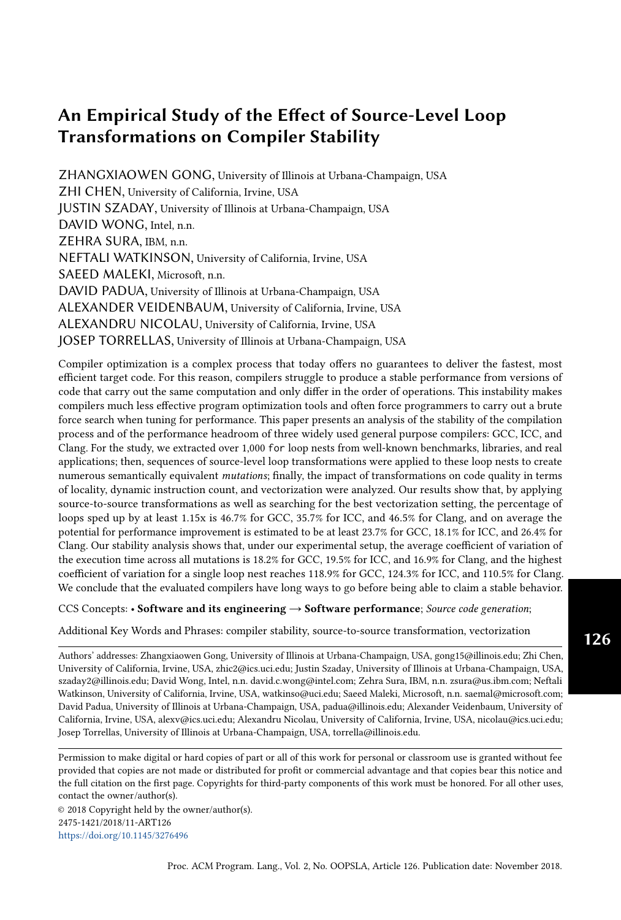the mutator and the compilers. We focused on the individual transformations because performing correlation analysis on all possible transformation sequences that the mutator generates is impractical.

#### 5.1 Computing correlation coefficients

We compute the correlation coefficient between (a) the change in value of a performance metric and (b) the change in execution time, where "change" refers to the difference between the original loop and the transformed loop. Performance metrics are obtained by reading a hardware performance counter or computed from multiple hardware counters, as is the case for cache miss rate. Specifically, the correlation coefficient for a transformation  $T$  is computed as follows: (I) For each loop nest l, we determine the fastest mutation,  $m$ , that is an application of  $T$ . Recall that transformations can produce multiple mutations since they are controlled by parameters (Table [1\)](#page-5-0). (II) Compute the ratio of the execution time the original loop nest and the execution time of the mutation  $m$  $(1 \cdot S = t_m \cdot t_{original})$ . This is the inverse of the speedup of *m* over the original loop. (III) Compute the ratio of the values for a performance metric  $P$  for the original loops and the mutation  $m$  $(R = P_{original} \cdot P_m)$ ; (IV) Calculate the Pearson correlation coefficient between the performance ratio 1•S and the metric ratio R, denoted as  $_{1 \cdot S/R}$  for all loop nests that can be transformed by T. The values obtained from the metric are inaccurate for loops with short execution time since the hardware counter reading process, which involves system calls, is also included in the measurement. Hence, to attenuate the inaccuracy, we only include loops with baseline execution time higher than 10,000 cycles. As a result, depending on the compiler, 768 817 loops are included in this part of the study. Because the general performance statistics and the counter correlation analysis are decoupled, it is acceptable to use a subset of the loops for the latter.

Note that  $\mathbf{1}_{\bullet}$   $\mathbf{s}_{:R}$  2 » 1, 1¼, where -1, 1, and 0 represent a perfect negative correlation, a perfect positive correlation, and no correlation, respectively. When the absolute value  $j_1 \cdot s_R j$  is high for a metric  $P$ , we may expect transformation  $T$  to affect performance mainly in a way that relates to the factors measured by P. On the other hand, if j  $_{1\cdot S,R}$  is insignificant for any of the performance metrics, either the transformation has multiple reasons that impact performance, or the reason is not captured by the limited set of performance metrics that we gather, so its effects are less clear.

To illustrate these ideas, consider Figure [5,](#page-16-0) which plots the ratio of performance factor values  $R$  (yaxis) against speedup S (x-axis) in logarithmic scale. For a perfect correlation ( $_{1\cdot S:R}$  2 f 1, 1g), all points on the plot are expected to be on a  $R = kS$ ,  $k \neq 0$  line. Figure [5](#page-16-0) (a) is a plot with high negative  $1.5$  $1.5$ ; R value (-0.79), and the points resemble a line  $R = kS$  with  $k < 0$  with a few noises. Figure 5 (b), on the other hand, presents a mid-range positive correlation  $_{1\cdot S\cdot R}$  = 0.27. We can still see a  $R = kS$  with  $k > 0$ , but the points are more scattered. Finally, Figure [5](#page-16-0) (c) plots a S R relationship with a close to  $0 \rightarrow_{1 \cdot S \cdot R}$ . In this case, the figure does not manifest a visual correlation. In the rest of the section, we consider j  $_1 \cdot S_i \times j$  2 »0.2, 0.5° as moderate correlation, and j  $_1 \cdot S_i \times j$  2 »0.5, 1¼ as high correlation.

The full list of performance metrics used in our study contains 59 entries. For clarity, we only present the descriptions of performance metrics that show interesting correlations in the following sections in Table [7.](#page-16-1) In the table, derived metrics are highlighted using italic font.

#### 5.2 Interchange

Loop interchange can convert non-unit-stride array access to unit-stride, which improves spatial locality. In addition, such a conversion may remove the need of gather-scatter instructions when vectorizing the loop.

The correlation values obtained indicate that interchange is correlated with cache performance metrics for all three compilers. For ICC and Clang, we found high negative correlations

Proc. ACM Program. Lang., Vol. 2, No. OOPSLA, Article 126. Publication date: November 2018.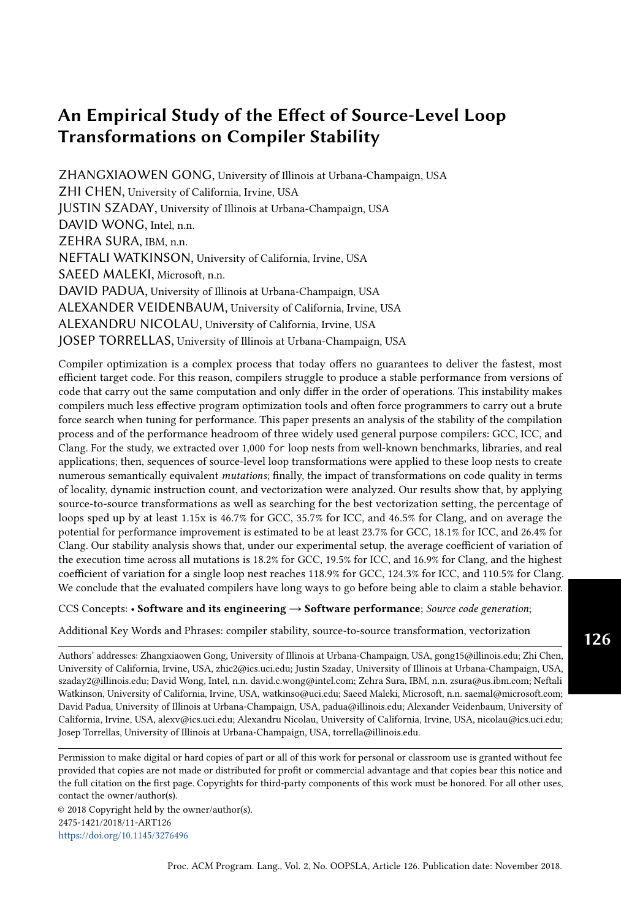<span id="page-16-0"></span>

Fig. 5. Example visualization of different  $_{1 \bullet S:R}$  range

<span id="page-16-1"></span>

| Metric                        | Description                                                   |  |  |  |
|-------------------------------|---------------------------------------------------------------|--|--|--|
| inst_retired.any              | Counts the number of instructions retired from execution.     |  |  |  |
| l1d.replacement               | Counts when new data lines are brought into the L1 Data       |  |  |  |
|                               | cache, which cause other lines to be evicted from the cache.  |  |  |  |
| l1d_pend_miss.pending         | Increments the number of outstanding L1D misses every cycle.  |  |  |  |
| l1d_pend_miss.pending _cycles | Cycles with L1D load Misses outstanding.                      |  |  |  |
| mem_load_uops_retired         | Counts retired load uops in which data sources missed in the  |  |  |  |
| $.11$ <sub>_miss_ps</sub>     | L1 cache.                                                     |  |  |  |
| l2_demand_rqsts.wb_hit        | Not rejected writebacks that hit L2 cache.                    |  |  |  |
| l2_trans.l2_wb                | L <sub>2</sub> writebacks that access L <sub>2</sub> cache.   |  |  |  |
| 12 lines in.all               | Counts the number of L2 cache lines brought into the L2       |  |  |  |
|                               | cache.                                                        |  |  |  |
| l2_rqsts.miss                 | All requests that missed L2.                                  |  |  |  |
| dtlb load misses              | Misses in all TLB levels that cause a page walk of any page   |  |  |  |
| .miss_causes_a_walk           | size.                                                         |  |  |  |
| dtlb_load_misses.stlb_hit     | Number of cache load STLB hits. No page walk.                 |  |  |  |
| %l1/l2/l3 hit/miss            | L1/L2/L3 hit/miss rate                                        |  |  |  |
| inst rate                     | Instruction rate that measures instruction level parallelism  |  |  |  |
|                               | (ILP)                                                         |  |  |  |
| 12 rw rate                    | L2 read/write rate calculated by dividing the total number of |  |  |  |
|                               | L <sub>2</sub> requests by the cycle count                    |  |  |  |

 $(1.6;R < 0.9)$  with performance metrics that reflect change in L1 cache behavior (11d. replacement, l1d\_pend\_miss.pending\_cycles, l1d\_pend\_miss.pending), and in L2 cache behavior (l2\_trans.l2\_wb, l2\_lines\_in.all, l2\_demand\_rqsts.wb). Besides, for ICC there is a high negative correlation with L3 performance metric %l3\_miss. For GCC, we also see moderate to high negative correlations (-0.7 - 0.4) with these cache related metrics. Moreover, interchange also affects TLB performance indicated by the -0.7 -0.6 negative correlations with TLB related metrics (dtlb\_load\_misses.stlb\_hit, dtlb\_load\_misses.miss\_causes\_a\_walk). The locality improvements subsequently contribute to an increase in instruction execution rate suggested by moderate positive correlations (0.2 0.5) with inst\_rate.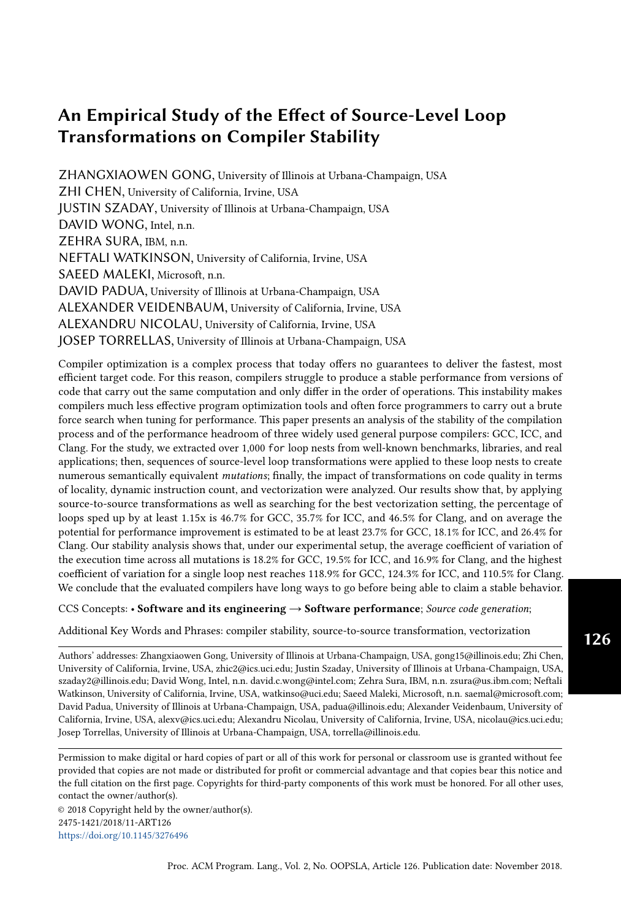In addition, the performance of both GCC and Clang appears to be influenced by the change in dynamic instruction count (inst\_retired.any) with  $j_1, s, R$  ranging from 0.4 0.6. This phenomenon implies that interchange can help these two compilers accomplish the same amount of work with fewer instructions. For ICC, we also found that performance change is often accompanied by change in instruction count in the opposite direction. By hand analyzing the instruction mix of affected loops, we corroborated that vectorization contributes to the reduction of instruction count.

```
for (k = 0; k < 25; k++) {
  for (i = 0; i < 25; i++) {
    for(j = 0; j < Inner\_loops; j++) {
      P \times [j][i] += Vy[k][i] * Cx[j][k];}}}
/* interchanged */
for (j = 0; j < 1nner_loops; j++) {
  for (k = 0; k < 25; k++) {
    for (i = 0; i < 25; i++) {
      Px[j][i] += Vy[k][i] * Cx[j][k];}}}
```
#### Listing 1. Original and interchanged Livermore Loops code

Listing [1](#page-17-0) is a case from the Livermore Loops that demonstrates how interchange affects instruction count differently for each of the three compilers. ICC gives the best performance for the original loop nest; Clang and GCC's outputs are respectively 1.13x and 1.45x slower than ICC. Based on manual inspection, we conclude that neither GCC nor Clang vectorize the loop due to a non-unit stride access. However, Clang manages to generate a more efficient address calculation than GCC, so Clang's scalar code executes 268K instructions while GCC's executes 384K instructions. On the other hand, ICC vectorizes the loop using gather-scatter and its output executes 288K instructions. However, the speedup from vectorization is modest due to the gather scatter operations.

After the mutator interchanges the loop nest as shown in Listing [1,](#page-17-0) the accesses to Px and Vy become unit-stride, and Cx becomes a loop constant of the innermost loop. As a result, all three compilers vectorize the mutation without gather-scatter. ICC's output now executes only 62K instruction, and is 2.8x faster than its baseline; GCC's numbers are 153K/2.4x, and Clang's are 33K/4.7x. Hence, apart from affecting locality, interchange can enable and/or increase the effectiveness of vectorization. Additionally, after interchange, Clang's mutation takes the lead and becomes 1.46x faster than ICC's output and 2.39x faster than GCC's.

We confirmed that the compilers perform loop interchange in some cases by scrutinizing the assembly. However, the high correlations with locality related metrics suggest that overall they rarely apply it, implying that these compilers fail to do interchange properly is due to inaccurate profitability models and/or not seeking interchange opportunities most of the time. In fact, some extracted loops have embarrassingly bad permutations that can be manually spotted instantly. For example, the loop nest in Listing [2](#page-18-0) from NPB has an obviously problematic memory access pattern, and it does not contain loop carried dependence. However, none of the three compilers interchanges it to a better shape, and the properly interchanged mutation becomes 2.6x 3.2x faster depending on the compiler. Such scenario is common in real world when the programmer does not pay attention to performance, or when the source code is generated by tools such as f2c [\[Feldman](#page-28-23) [1990\]](#page-28-23). Hence, it would be helpful if compilers prioritize the analysis for interchange opportunities.

#### 5.3 Unrolling

Loop unrolling is a technique traditionally used to obtain better performance at the expense of program size. Unrolling may improve performance by reducing control overhead (e.g. advancing the iterator and testing exit conditions), exposing more instruction level parallelism (ILP), and/or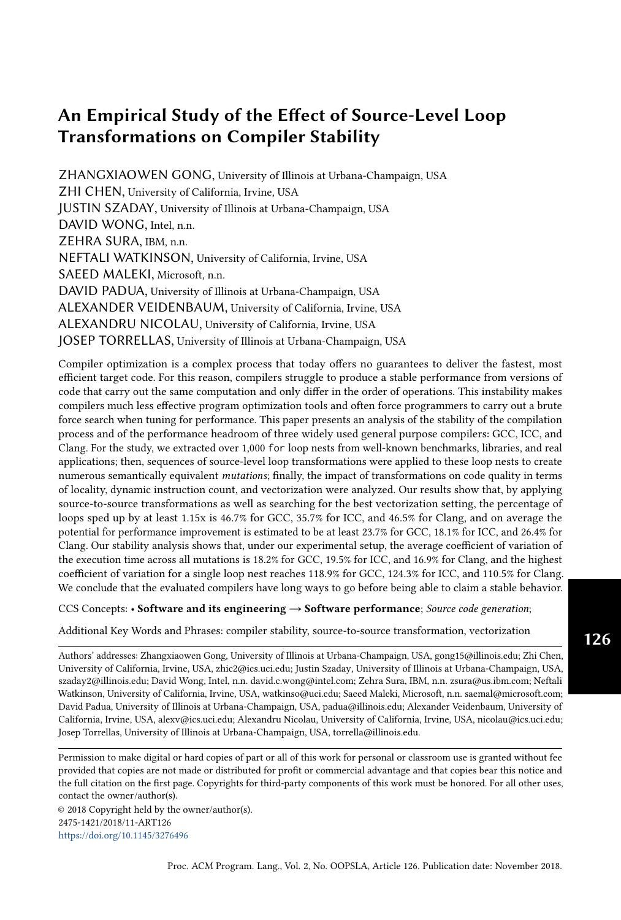```
double dt , rhs [65][65][65][5];
for (j = 1; j \le y - 2; j \ne 1)for (k = 1; k \le z = 2; k == 1)for (m = 0; m < 5; m \neq 1)for (i = 1; i \le x - 2; i++)rhs[i][j][k][m] = rhs[i][j][k][m] * dt;/* interchanged */
for (i = 1; i \le x - 2; i++)for (j = 1; j \le y - 2; j \ne 1)for (k = 1; k \le z - 2; k == 1)for (m = 0; m < 5; m \neq 1)rhs[i][j][k][m] = rhs[i][j][k][m] * dt;
```
Listing 2. Original and interchanged NPB BT code

by enabling scalar optimizations (e.g. common sub-expression elimination, constant folding, etc). Compilers may undo a source level unrolling by applying loop re-rolling.

The correlation results demonstrate that unrolling does reduce dynamic instruction counts. All three compilers show moderate to high negative correlations (-0.7 -0.3) with inst\_retired.any. We also see moderate positive correlations (0.3 0.4) with 12\_rw\_rate, suggesting that although unrolling does not effectively reduce L1 miss rate, its ability to reduce instruction count and increase ILP can improve performance by better utilizing L2 throughput when the locality is captured at the L2 level.

By further examining the assembly code, we observed that the compilers apply unrolling in some cases. Sometimes they may even fully unroll a loop when the trip count is relatively low, potentially exploding the code size. Yet, the compilers fails to apply unrolling in many cases in which it would be beneficial. In particular, compilers may not unroll all loops with small bodies. Unrolling is particularly effective for these loops because they have high overhead due to loop bookkeeping. Also, when a small loop body is duplicated by unrolling, the instructions across the original loop bodies are more likely to be in the same pipeline window, therefore creating more opportunities for ILP than unrolling loops with large bodies does. In addition, since the operation counts are low for a small loop body, unrolling does not excessively inflate the code size. It is surprising that the compilers decide not to unroll these loops, so there is a clear need to improve the profitability model for unrolling by significantly bias towards loops with small bodies.

Unrolling occasionally facilitates vectorization; however, in some cases it can also prevent vectorization. Vectorization is traditionally done by strip-mining the inner loop by the length of the vector registers and then replacing the original loop body with a vector equivalent. This means that fully unrolled loops cannot be vectorized and that partially unrolled loops could lead to inefficient vectorization. For example, ICC and Clang are both able to vectorize a loop from SPEC 2006 by default, but unrolling the loop twice causes the compilers to produce scalar code, which leads to 12x and 14x slowdown respectively. In fact, [Maleki et al.](#page-28-16) [\[2011\]](#page-28-16) suggests that compilers sometimes re-roll a source-level unrolled loop in order to vectorize it. However, the newer basic block vectorization techniques benefit from unrolling. This technique first unroll the loop by a certain factor and then try to assemble isomorphic statements (statements that contain the same operations in the same order) in the unrolled loop body into vector instructions. Such vectorization is also referred to as superword-level parallelism (SLP) by [Larsen and Amarasinghe](#page-28-24) [\[2000\]](#page-28-24).

Compared with strip-mining based vectorization, basic block vectorization can easily partially vectorize a loop. Although we witnessed numerous cases where unrolling helps the compiler to fully vectorize the loop, we present the case of loop  $s281$  from TSVC, as shown in Listing [3,](#page-19-0) because it exhibits the interesting trait of partial vectorization. The original loop is not well-optimized by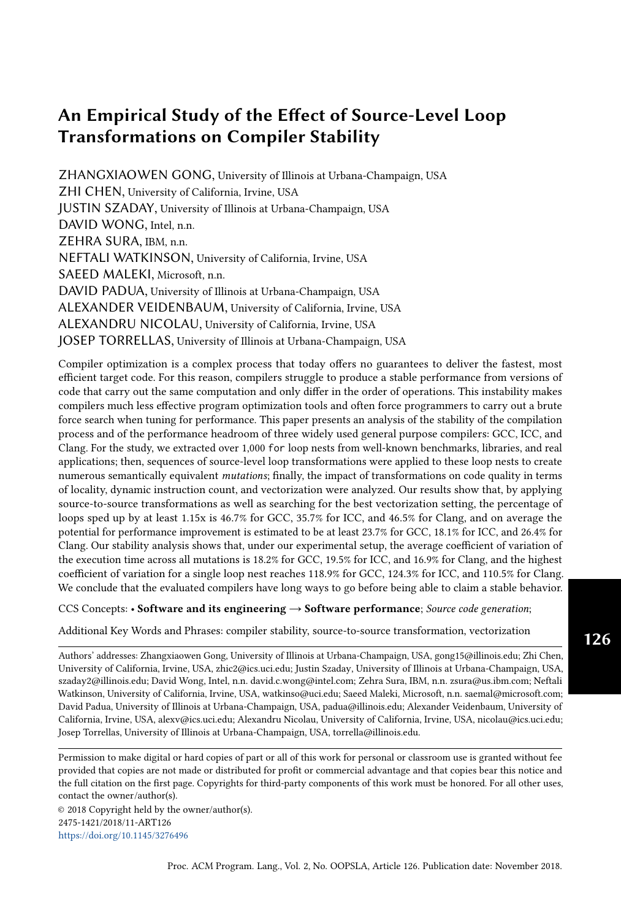```
for (i = 0; i < 32000; i++) {
  x = a[32000 - i - 1] + b[i] * c[i];a[i] = x - 1.0;b[i] = x;}
/* unrolled 8 times */
for (i = 0; i < 32000; i \ne 8) {
  x = a[32000 - i - 1] + b[i] * c[i];a[i] = x - 1.0;b[i] = x;/* iteration 2~7 are omitted */
  x = a[32000 - (i + 7) - 1] + b[i+7] * c[i+7];a[i+7] = x - 1.0;b[i+7] = x;}
```
Listing 3. Original and unrolled TSVC s281 code

any of the the three compilers that we evaluated. After unrolling the loop 8 times, Clang creates two temporary vectors, denoted as  $\text{tmp[0:7]}$  and  $x[0:7]$ . The former vector holds the intermediate results from 8 instances of sub-expression b[i]\*c[i] while the latter vector is an extension of scalar x. Then,  $\text{tmp}[0:7]=b[i:i+7]*c[i:i+7]$  and  $b[i:i+7]=x[0:7]$  are vectorized because they do not have loop carried dependences. Since operations on a[] have loop carried dependences, they remain scalar. By partially vectorizing this loop, Clang gains a 1.7x speedup. While compilers have implemented basic block vectorization, this case demonstrates that they may miss vectorization opportunities until the loops are manually unrolled.

Because unrolling can impact vectorization both negatively and positively, it is difficult for programmers and source-to-source optimizers to predict its effect on performance. To avoid this inconsistency, we propose that compilers could first determine whether or not the source code of the loop is unrolled and then choose the appropriate vectorization pass. Alternatively, compilers could apply an unrolling or a re-rolling pass before the basic block based or strip-mining based vectorization pass respectively, and if the vectorization pass does not succeed, discard the rerolled/unrolled results (if they are not profitable by themselves).

#### 5.4 Unroll-and-jam

Unroll-and-jam is primarily employed to facilitate data reuse by improving register usage, which decreases the number of memory accesses. In addition, it may enable vectorization on the outer loop without performing interchange [\[Nuzman and Zaks](#page-28-25) [2008\]](#page-28-25). Finally, while not as important, unroll-and-jam may reduce control overhead and/or increase ILP similarly to unrolling. Compilers may reverse a source level unroll-and-jam by applying an interchange ! re-rolling ! interchange sequence accordingly.

The correlation results for unroll-and-jam are rather interesting. ICC has a high negative correlation (-0.9) with l1d.replacement and has a moderate positive correlation (0.4) with %l1\_hit, indicating that an improvement in L1 hit rate is a major factor for the performance gain. GCC and Clang, on the other hand, have lower negative correlations (-0.6 -0.5) with l1d.replacement; however, they also have negative correlations (-0.6 -0.5) with inst\_retired.any. The main difference between ICC and GCC/Clang is the correlations with l2\_rw\_rate. For this metric, ICC exhibits a high negative correlation (-0.7) while GCC and Clang both have moderate positive correlation (0.3). These values imply that unroll-and-jam has a different effect on ICC compared to GCC/Clang.

Figure [6](#page-20-0) contains plots of speedup (x-axis) vs. change in l2\_rw\_rate (y-axis) for all three compilers under the influence of unroll-and-jam. From the figure, we see that at low speedup/slowdown, all three compilers show positive correlations with the metric. In fact, 75% of ICC's data points land in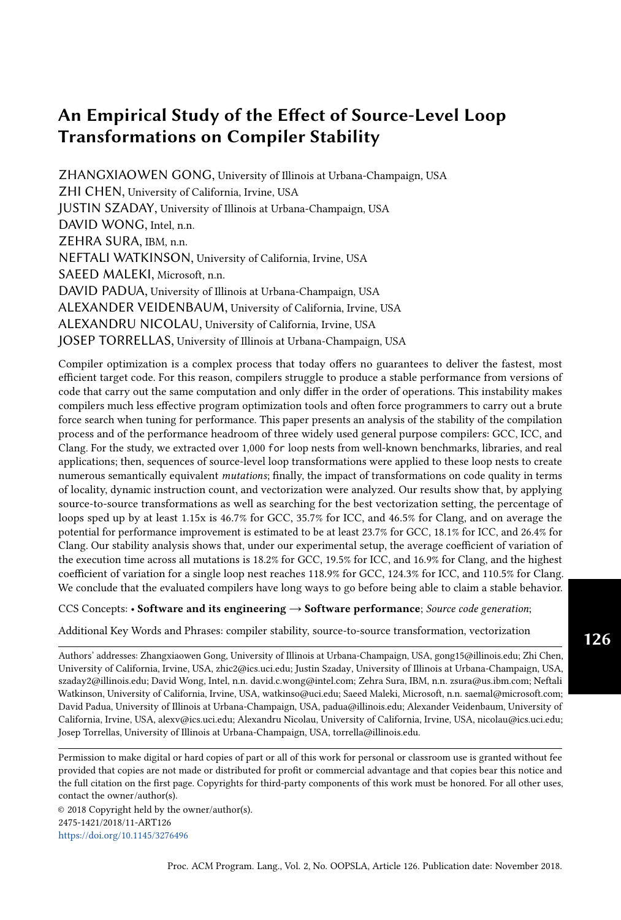quadrant 1 and 3, suggesting a positive correlation. However, for high speedup cases, ICC shows decrease in l2\_rw\_rate, represented by the points in quadrant 4. Since the Pearson correlation biases towards data points with higher values, the correlation coefficient becomes negative. In order to understand ICC's opposite correlation with l2\_rw\_rate at different speedup ranges, we inspected other metrics and found that:

- (1) At high speedup range, l1d.replacement is significantly reduced, which means that the speedup is achieved from better data reuse and thus fewer L1 eviction.
- (2) At low speedup/slowdown range, the performance change is due to other factors such as lower control overhead and/or higher ILP.

<span id="page-20-0"></span>

Fig. 6. Speedup vs. change in l2\_rw\_rate due to unroll-and-jam

On the contrary, GCC and Clang have fewer points in quadrant 4 and more points showing positive correlation. More notably, Clang is able to obtain high speedup with a positive correlation with l2\_rw\_rate. By digging into other metrics, we learned that a majority of the speedup corresponds to the negative correlation with inst\_retired.any, and the source of the reduction in dynamic instruction count is largely related to vectorization. For GCC, in the 42 cases where unroll-and-jam is beneficial ( $> 1.15x$  speedup), 12 loops are not vectorized initially, and 4 of them become vectorized after unroll-and-jam. To further analyze how vectorization is affected, we define dynamic vectorization rate as:

*d namic ectorization rate* = 
$$
\frac{d \text{ namic ector instruction count }}{d \text{ namic instruction count }} \tag{6}
$$
 We see a general increase in vectorization rate. From the 30 loops that are already vectorized

at the beginning, 21 loops receive at least a 15% vectorization rate increase. For Clang, in the 55 cases where unroll-and-jam is beneficial, 9 loops are not vectorized initially, and 4 of them become vectorized afterwards. Note that these 4 loops contain the top 2 speedup that Clang attains through unroll-and-jam, achieving 4.1x and 3.6x respectively. Unroll-and-jam also improves the vectorization rate for 8 loops.

While unroll-and-jam helps ICC's performance, we also observed that it reduces the effectiveness of vectorization. Of the 28 loops where unroll-and-jam is beneficial, 4 loops are not vectorized initially, and the transformation does not help ICC succeed in vectorizing any of them. Instead, there are 5 loops that are vectorized initially but become not vectorized after unroll-and-jam. Nonetheless, unroll-and-jam manages to speedup these loops by 2.2x to 3.3x. Furthermore, unrolland-jam reduces the vectorization rate of 7 loops by at least 15%. Two major factors contribute to this situation. First, the benefit from vectorization is overshadowed by a worse memory access pattern. For the cases where scalar mutations outperform vectorized baselines, we always see sharp reduction in L1 miss rate after unroll-and-jam. Second, unroll-and-jam may eliminate performance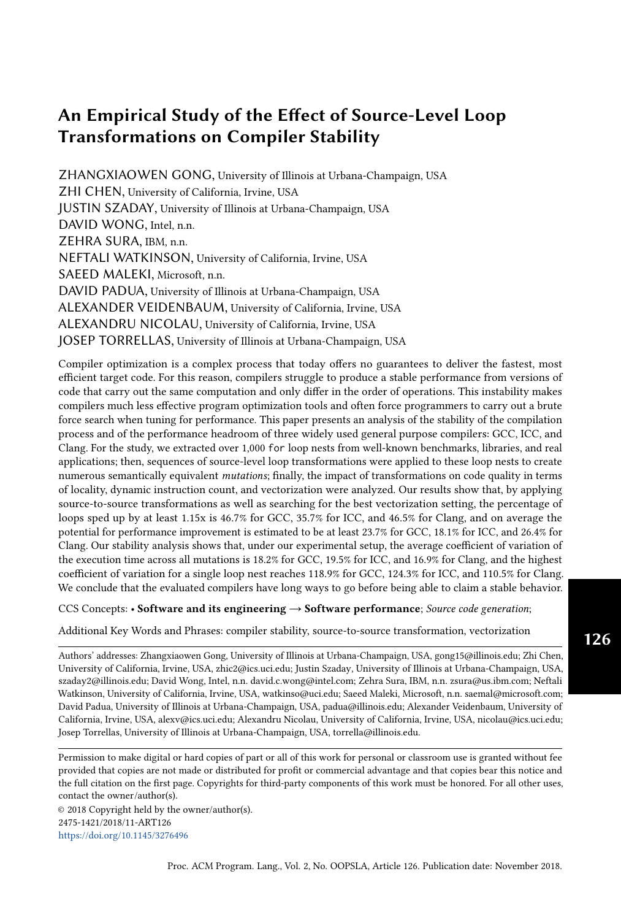unfriendly patterns from the vectorized baseline, such as gather-scatter, and generate more efficient vector code, despite having lower vectorization rates.

```
for (i = 0; i < n; i++) {
  for (j = 0; j < n; j++) {
    x[i] = x[i] + beta * A[j][i] * y[j];}
}
/* unroll-and-jammed 4 times*/
for (i = 0; i < n - fringe; i += 4) {
  for (j = 0; j < n; j++) {
    x[i] = x[i] + \text{beta} * A[j][i] * y[j];x[i+1] = x[i+1] + \text{beta} * A[j][i + 1] * y[j];x[i+2] = x[i+2] + \text{beta} * A[j][i + 2] * y[j];x[i+3] = x[i+3] + beta * A[j][i + 3] * y[j];}
  /* residue loop is omitted */
}
```
Listing 4. Original and unroll-and-jammed Polybench linear-algebra-blas-gemver code

Listing [4](#page-21-0) contains a loop nest from Polybench's linear algebra workload gemver that illustrates how unroll-and-jam helps ICC's vectorizer with a deceiving reduction in vectorization rate. ICC manages to vectorize the original loop nest, yet in an inefficient manner. It first unrolls the inner loop by 32 times. It then transforms the unrolled iterations into 8 vector operation sessions. In each session, 4 elements of A are gathered from far apart addresses to assemble a vector, and another vector of 4 y elements are directly loaded from consecutive y. Then, the two vectors together with a third vector of copies of beta are multiplied together. The result vectors from all 8 session are later added together and reduced to a single value that is stored to  $x[i]$  afterwards. This vectorization is very inefficient in terms of both gather-scatter overhead and locality.

Fortunately, unroll-and-jam provides a better vectorization approach. ICC is able to vectorize the inner loop body with the basic block vectorization technique after the transformation. It first broadcasts y[j] to a 256-bit vector register. Then, it loads another vector register with  $\text{A[j][i:i+3]}$ from consecutive addresses. Afterwards, it multiplies the two vectors with a vector of beta. Each iteration the result of the multiplication is accumulated onto that from the previous iteration, and after the inner loop exits, the results are written to  $x[i:i+3]$  with a vector store instruction. Clearly, the new approach is superior since it completely eliminates gather-scatter and has improved locality. In the end, the mutation is 3.7x faster than the baseline. However, the mutation contains 46% vector instructions, whereas the baseline contains 64%, so in this case the vectorization rate is misleading.

#### 5.5 Tiling

Tiling is applied to a loop nest primarily when the workset is reused multiple times but is too large to fit in cache. By tiling the loop nest with appropriate block size, blocks of the original workset can be reused without re-fetching from the lower memory, which improves performance. Unlike the other transformations, it is harder for general purpose compilers to reverse a tiled loop nest back to its un-tiled shape.

Due to the limitations on experimental size as described in Section [2.2,](#page-4-0) we are only able to examine the effects of 1-D tiling. The correlation results confirm that tiling mainly affects locality. All three compilers exhibit different amount of correlations (0.<sup>3</sup> <sup>0</sup>.6) with metrics related to various cache levels, such as L1 (11d\_pend\_miss.pending\_cycles, %11\_hit, l1d\_pend\_miss.pending, l1d.replacement), L2 (l2\_rqsts.miss, l2\_lines\_in.all), L3 (%l3\_hit), and TLB (dtlb\_load\_misses.stlb\_hit).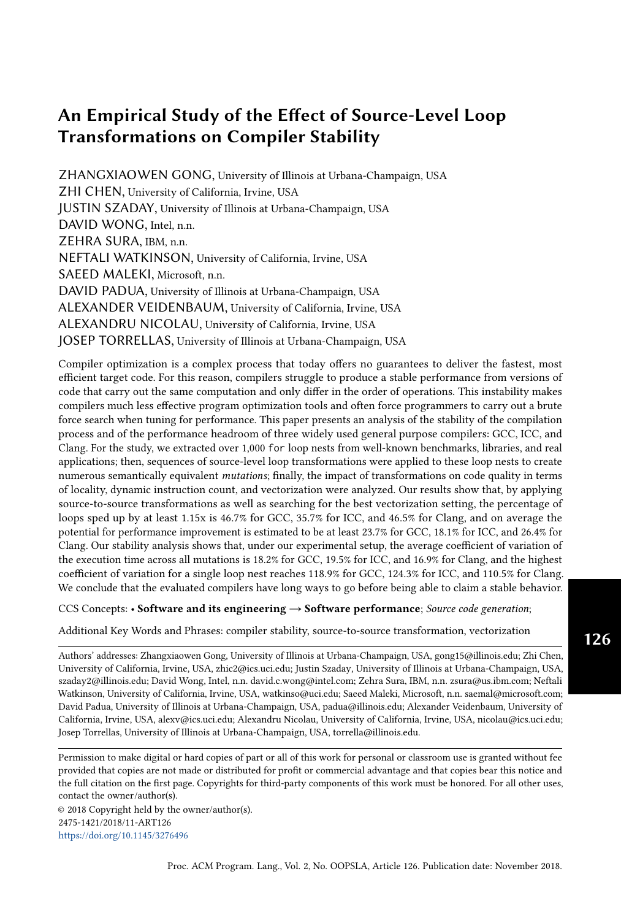The hardware counter values also suggest that tiling often increases dynamic instruction count, which stems from the additional address calculations and iterator operations added by the new loop nest level. Therefore, tiling can cause slowdowns if the access patterns do not benefit from tiling or the benefits do not outweigh the overhead.

Furthermore, we found rare cases where tiling enables vectorization for loops with variable bounds. After tiling or strip-mining, the tiled innermost loop no longer has variable bounds. This helps the compilers whose vectorization model is confused by the original variable bounds.

### 5.6 Distribution

Loop distribution helps performance mainly by separating data streams, which may improve locality and/or prefetching behavior. Compilers may reverse a source level distribution by applying loop fusion. The correlation results confirm its utility. All three compilers have high positive correlations (0.7 0.9) with  $12\text{-rw\_rate}$ , indicating that distributed code may utilize L2 throughput better, likely because of better prefetching behavior. We also see moderate positive correlations (0.3 0.5) likely because of better prefetching behavior. We also see moderate positive correlations (0.3) with inst\_rate, which implies that higher L2 access throughput also helps increasing the overall instruction throughput.

#### <span id="page-22-0"></span>6 VECTORIZATION

In Section [5,](#page-14-0) we already discussed that vectorization plays a major role in the performance gain. If a loop is not originally vectorizable but, after undergoing a transformation sequence, becomes vectorized, it may receive a sizable performance boost. We also noticed that there are scenarios where scalar code outperforms vector code due to the overhead introduced during the vectorization process and/or locality difference. Such performance variation caused by vectorization contributes to compilers' instability significantly. Therefore, we took one step further to investigate how different vectorization settings may influence the performance of loops.

We compiled and profiled all the loop nests and their mutations with 4 additional vectorization settings. We refer to the compiler settings described in Section [3](#page-6-0) as the reference settings, and the additional settings are the reference settings with added switches. The settings are: only generating scalar code, using only SSE, using SSE and AVX, and using up to AVX2. Moreover, for the three vector configurations, we disabled the compilers' vectorization profitability analysis if possible so that the compilers vectorize the loop with the corresponding vector extension whenever possible, regardless of the predicted profitability. Note that Clang 4.0.0 does not provide switches to turn off the profitability analysis.

Because vectorization does not always guarantee speedup, instead of looking at compilers' vectorization report to determine whether a loop is vectorized, we use the method from [Maleki et al.](#page-28-16) [\[2011\]](#page-28-16) and define that a loop has effective vectorization if the vector code is at least 15% faster than the scalar code; specifically, we claim the vectorization is effective if  $t_{scalar}$ •min<sup>1</sup> $t_{SSE}$ ,  $t_{AVX}$ ,  $t_{AVX2}$ <sup>o</sup> > 1.15 where  $t_s$  is the execution time of setting *s*. Since the compiler flags for SSE, AVX, and AVX2 are identical to those for scalar except for enabling various vector extensions, the performance are identical to those for scalar, except for enabling various vector extensions, the performance difference is expected to be mainly from vectorization. Furthermore, a mutation's scalar performance may be significantly lower than that of the baseline. If so, the mutation might not be beneficial overall even if it has effective vectorization. Therefore, for this study, we are only interested in mutations that are both beneficial to the baseline while being vectorized effectively.

#### 6.1 Effect of Transformations on Vectorization

Let's first investigate how source-level transformations affect vectorization. The first row of Table [8](#page-23-0) lists the total number of loops that we studied for each compiler, denoted as L. The second row has the number and percentage of loops in L whose baseline are not effectively vectorized, denoted as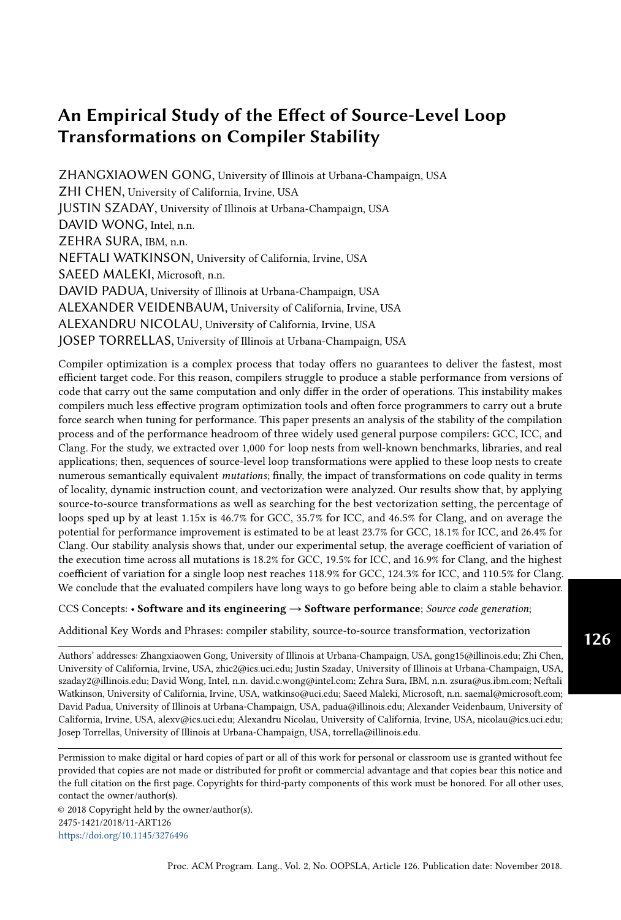N. It shows that ICC's vectorizer is the most effective among the three because it fails to vectorize the least percentage of  $L$  (59.6%). On the contrary, Clang's vectorizer is the least effective in the sense that it only manages to vectorize 21.1% of L effectively. The next row presents the number and percentage of loops in  $N$  that have beneficial mutations, denoted as  $B$ . Note that the percentages in this row (39.6% 47.5%) are much higher than the percentages of loops with beneficial mutation in L, which are 25.9% 36.6% (second row in Table [3\)](#page-8-1). This phenomenon indicates that loops that are not originally vectorized have higher chance to receive speedup from source-level transformations. Finally, the last row contains the number and percentage of loops in  $B$  whose beneficial mutations are effectively vectorized. It demonstrates that 36.1% 38.1% of the beneficial mutations are vectorized effectively while their baselines are not; thus, applying the correct source-level transformations can boost compilers' vectorization success rate.

<span id="page-23-0"></span>

|                |                                                         | <b>GCC</b>  | <b>ICC</b>  | Clang                       |
|----------------|---------------------------------------------------------|-------------|-------------|-----------------------------|
|                | $#$ of loops studied (L)                                | 1241        | 1175        | 1266                        |
| 2              | $\#$ (%) in L without effective vectorized baseline (N) | 866 (69.8%) | 700 (59.6%) | 999 (78.9%)                 |
| 3              | $#$ (%) in N that has beneficial mutation (B)           | 373 (43.1%) | 277 (39.6%) | 475 (47.5%)                 |
| $\overline{4}$ | $\#$ (%) in B whose baseline is not vectorized but has  | 141 (37.8%) |             | $100(36.1\%)$   181 (38.1%) |
|                | vectorized beneficial mutation(s)                       |             |             |                             |

Table 8. Statistics of effective vectorization

## 6.2 Vectorization Settings

We compiled each mutation with various vectorization settings to assess compilers' effectiveness in (I) deciding whether to vectorize a vectorizable loop and (II) choosing the best vector extension for the task. Table [9](#page-24-0) contains the number of loops that are improved by at least 15% via changing vectorization settings. Row 2 to 4 focus on the benefit by bypassing the profitability model. Row 2 shows that 6.0% 8.1% of the loops can be sped up over 15% by forcing the compilers to yield scalar code. This situation occurs when the overhead introduced by vectorization (e.g. gather/scatter) is higher than the benefit of vectorization yet the profitability model fails to assess it. Row 3 is for the opposite scenario when the loop is vectorizable and profitable, but the profitability model deems otherwise. Because we were not able to turn off Clang's vectorization profitability model, only GCC and ICC produce this situation, and 2.6% 3.1% of the loops fall in this category for them. Row 4 is the subtotal of the above two situations. Row 5 counts the loops whose performances increase when vectorized with an older vector extension, i.e. SSE or AVX. In this category, vectorization profitability model is disabled for GCC and ICC but enabled for Clang. This time, 10.0% 12.1% additional loops receive benefit. Finally as shown in the last row, 18.1% 21.5% of the loops can receive a sizable performance boost by changing vectorization settings only and without undergoing any transformation. Note that although Clang has the lowest value in the last row, its vectorization profitability model is not necessarily better than those of the other two compilers; in fact, Clang having the highest value in row 2 suggests otherwise. We believe Clang's low percentage in the last row heavily attributes to the inability to disable its profitability model.

Figure [7](#page-24-1) plots the speedup distribution of loops that are sped up by only changing the vectorization setting during compilation. While most speedups are below 2x, a number of loops gain speedups of 3x or above. Hence, a more accurate vectorization profitability model and a better understanding on the characteristics of different vector extensions can potentially help compilers to generate much faster results.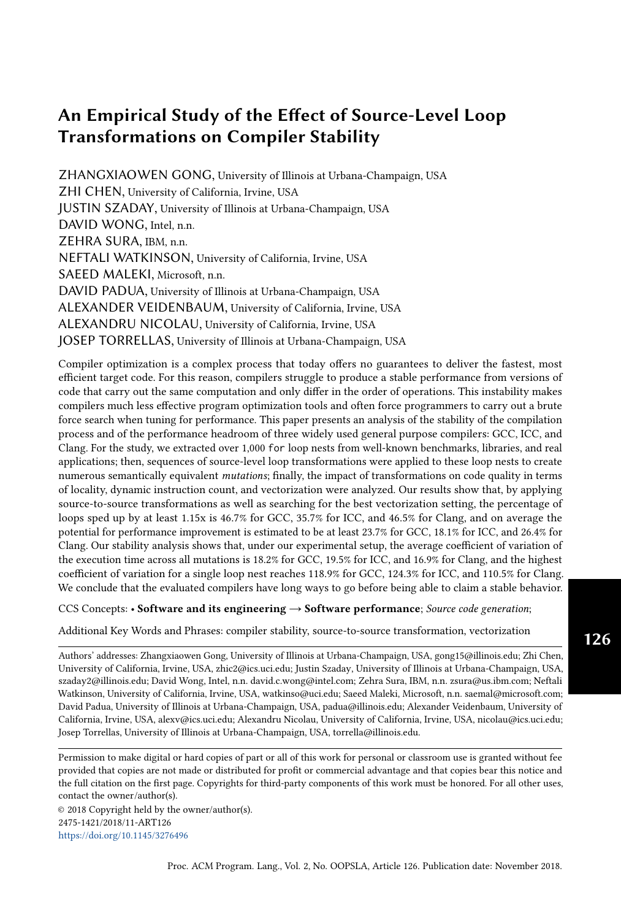<span id="page-24-0"></span>

|                |                                                          | <b>GCC</b>     | <b>ICC</b>   | Clang                     |
|----------------|----------------------------------------------------------|----------------|--------------|---------------------------|
|                | $#$ of loops studied (L)                                 | 1241           | 1175         | 1266                      |
| 2 <sup>1</sup> | $#$ (%) in <i>L</i> best improved with forced scalar     | 85 (6.8%)      | 71 (6.0%)    | $102(8.1\%)$              |
| 3 <sup>1</sup> | $#$ (%) in L best improved with forced vectorization     | $32(2.6\%)$    | $36(3.1\%)$  | N/A                       |
| $\overline{4}$ | Subtotal                                                 | 117 $(9.4\%)$  | $107(9.1\%)$ | $102(8.1\%)$              |
| 5 <sup>1</sup> | $#$ (%) in <i>L</i> best improved with older vector ext. | 150 $(12.1\%)$ | 138 (11.7%)  | $127(10.0\%)$             |
| 6              | Total                                                    | 267 (21.5%)    |              | 245 (20.9%)   229 (18.1%) |

Table 9. Statistics of loops having speedup by changing vectorization settings

<span id="page-24-1"></span>

Fig. 7. Distribution of loops that are improved by changing vectorization settings when compiling the original loop

By combining the efforts of applying sequences of source-to-source transformations and searching for the best vectorization setting, we are able to accelerate 579 (46.7%), 420 (35.7%), and 589 (46.5%) loops for GCC, ICC, and Clang respectively, and the average speedup of these beneficial cases is 1.61x 1.65x depending on the compiler. The average lower bound of performance headroom by applying source-to-source transformations as well as searching for the best vectorization setting is 23.7% for GCC, 18.1% for ICC, and 26.4% for Clang.

### 6.3 Vectorization Profitability Case Study

In order to gain insight into the complex factors that affect the profitability of vectorization, we study the case in Listing [5,](#page-25-1) which is taken from NPB LU benchmark and whose scalar version outperforms its vectorized counterparts. The codelet's vectorized reference compilation is 2.2x slower than the scalar version where auto-vectorization is disabled on ICC. To understand the cause, we investigated the assembly code of both the reference and the scalar version. We discovered that the anomaly may be attributed to the following two reasons.

First, the reference code is vectorized at a length of 2. Instead of packing consecutive elements in the array ce to a vector register, the compiler unrolls the loop by a factor of 2 before vectorizing and then picks two adjacent elements in a column, e.g. ce[0][0] and ce[1][0]. Since one vector instruction can process operations from multiple iterations in the source code, we expected the number of assembly iterations in this vector code to be much less than that in the scalar one. However, we were astonished to see that the length of the scalar code is instead half of that of the vectorized code. By scrutinizing the assembly, we learned that the compiler fully unrolls the scalar code's innermost loop. It turns into fewer iterations and improves performance by eliminating the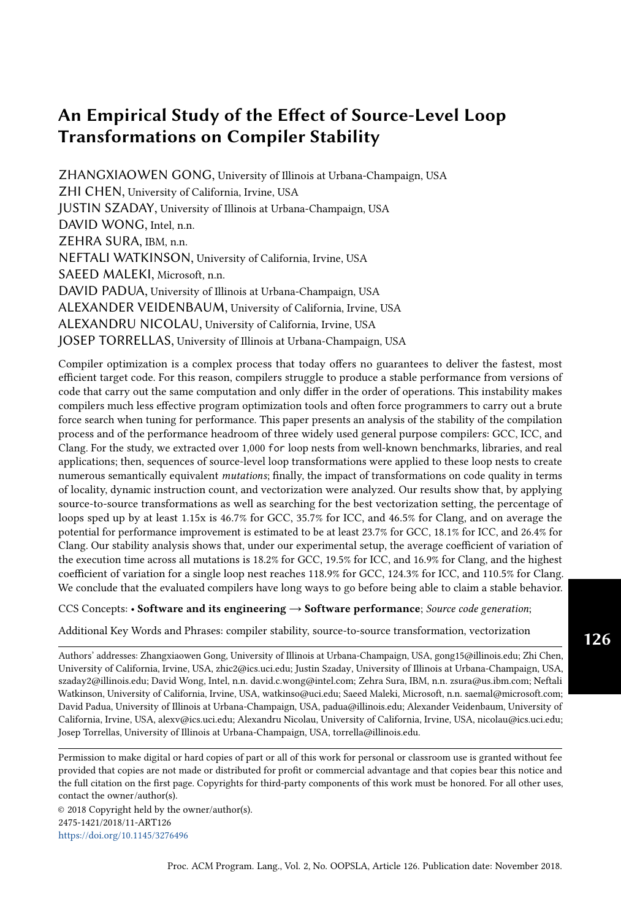```
double ce [5][13] , rsd [64][65][65][5];
for (i = 0; i < nx; i++) {
  iglob = i ;
  xi = iglob / (nx0 - 1);for (j = 0; j < ny; j++) {
    jglob = j;eta = jjlob /(ny0 - 1);
    for (k = 0; k < nz; k++) {
      zeta = k / (nz - 1);
      for (m = 0; m < 5; m++) {
        rsd[i][j][k][m] = ce[m][0] + ce[m][1] * xi + ce[m][2] * eta + ce[m][3] *zeta + ce[m][4] * xi2 + ce[m][5] * eta2 + ce[m][6] * zeta2 + ce[m
            J[7] * xi3 + ce[m][8] * eta3 + ce[m][9] * zeta3 + ce[m][10] * xi4 + ce
            [m][11] * eta4 + ce[m][12] * zeta4;}}}}
```
#### Listing 5. NPB LU code

end-of-loop test. Meanwhile, the compiler aggressively schedules instructions for the scalar code after unrolling as there is no data dependence. This might be able to enhance instruction pipelines with the help of better ILP.

Second, this loop nest tends to have many write cache misses since the rsd array does not fit into L1 and even L2 cache. Vector code is usually supposed to stress memory more than scalar code since it is more likely to complete computations faster. But it turns out that scalar code surprisingly manages to keep the memory much busier in this case. For example, we found that the scalar code is able to fetch two cache lines concurrently for rsd over 14% of the execution while the vector code is essentially fetching one cache line at a time. Moreover, the scalar code keeps fetching at least one cache line over 70% of the execution while the vector code keeps the memory busy for only 31% of the execution. Since the most expensive factor is write cache misses, and the scalar version manages to process that more aggressively, it runs faster than the vector code. We observe that the vector code has more L1 hitting loads from ce in between write missing stores to rsd. These loads fill up the load buffer, causing the processor to stalls and prevent the processor from executing the stores more aggressively.

Consequently, the fact that compilers fail to accurately predict the outcome of vectorization due to complex factors interfering with each other reduces the compilers' stability.

#### <span id="page-25-0"></span>7 RELATED WORK

[Maleki et al.](#page-28-16) [\[2011\]](#page-28-16) studied the effectiveness of vectorization in compilers as well as how transformations aid vectorization. Their study demonstrated, for vectorization, some of the instability effects discussed in our paper. They applied transformations on a smaller collection of loop nests by hand and focused only on vectorization. In comparison, we conducted our study on a large number of programmatically generated mutations from an extensive collection of loop nests, and we also investigate other components of the optimization process besides vectorization. Most importantly, the main perspective that our paper studies: stability, is not explicitly considered by Maleki.

Exploring the space of program variants as a mechanism to test for correctness of compilers has been studied extensively. A variant of this mechanism is Equivalence Modulo Inputs (EMI) by [Le et al.](#page-28-26) [\[2014\]](#page-28-26), which transforms source programs to generate versions that are semantically-equivalent not for all inputs but for a specific set of program inputs. A compiler defect is detected when the target code from two different versions produce different outputs. The GLFuzz technique by [Donaldson](#page-28-27) [et al.](#page-28-27) [\[2017\]](#page-28-27) is similar to our approach in that it applies semantic-preserving transformations to check the correctness of GLSL compilers. The applications of these and other similar techniques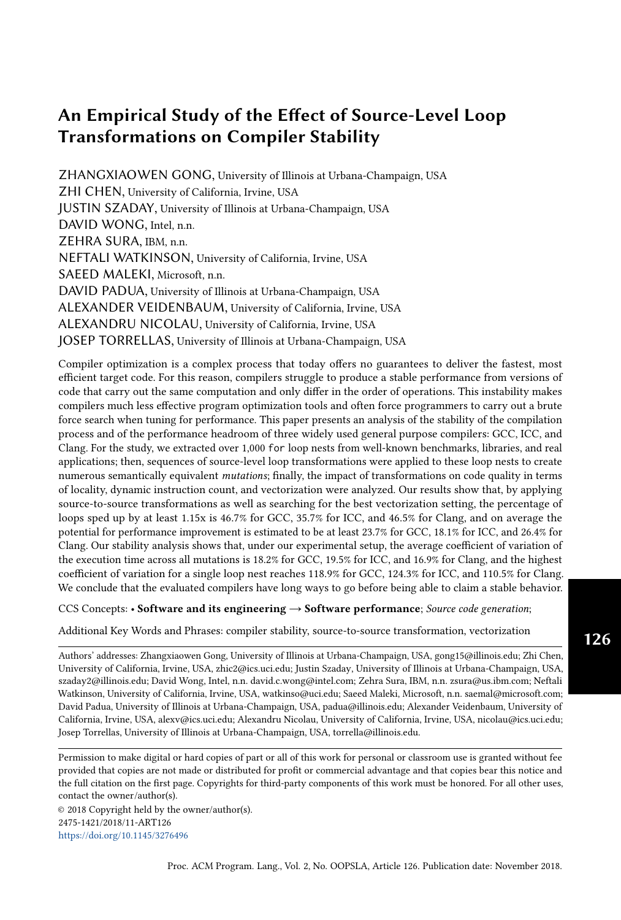to find performance bugs is discussed by [Segura et al.](#page-28-28) [\[2017\]](#page-28-28). They call the strategy Performance Metamorphic Testing. The work reported in this paper can be considered as a member of this class of performance testers.

[Park et al.](#page-28-29) [\[2013\]](#page-28-29) used the performance counter values gathered from executing a loop as the input to a machine learning model that predicts the best polyhedral transformations for the loop. We instead use the correlation between performance counters and performance to investigate the effect of source-level transformation.

Source-to-source transformations have been used as a compiler pre-pass in prior researches in order to improve code performance. [Tiwari et al.](#page-29-2) [\[2011\]](#page-29-2), [Fursin et al.](#page-28-2) [\[2002\]](#page-28-2), and [Pouchet et al.](#page-28-3) [\[2008\]](#page-28-3) adopted the technique in iterative compilation. [Tiwari et al.](#page-29-2) [\[2011\]](#page-29-2) used the CHiLL framework [\[Chen](#page-27-4) [et al.](#page-27-4) [2008\]](#page-27-4) to perform source-level transformations, and they pointed out that the transformation search space grows exponential in size as the number of tuning parameters increases. [Fursin et al.](#page-28-2) [\[2002\]](#page-28-2) searched the transformation space that consists of three transformations: array padding, loop unrolling, and loop tiling. [Pouchet et al.](#page-28-3) [\[2008\]](#page-28-3) searched polyhedral transformation space in their iterative optimization approach. Polyhedral compilers such as PLUTO [\[Bondhugula et al.](#page-27-5) [2008\]](#page-27-5) and the work from [Adamski et al.](#page-27-6) [\[2016\]](#page-27-6) also work as a source-to-source pre-pass to the back-end compiler. The polyhedral transformations that they apply can be viewed as sequences to loop transformations. However, both iterative compilation and polyhedral compilation only aim to find a good shape of a given loop nest within reasonable time. Therefore, iterative compilation uses search algorithms to converge to high performance within limited number of steps, and polyhedral compilation applies a single compound transformation based on the polyhedral model. On the other hand, our work purposefully cover a large transformation space in order to evaluate the stability of compilers and to understand the effect of source-level transformations.

Aimed at accelerating performance evaluation of programs, a few prior works also proposed to extract the hotspots from applications and save them as stand-alone codelets. [Castro et al.](#page-27-7) [\[2015\]](#page-27-7) isolated code at the Intermediate Representation (IR) level using LLVM framework. In contrast, our extractor is implemented as a separate component of the ROSE compiler to isolate loop nests at the source level. [Liao et al.](#page-28-30) [\[2009\]](#page-28-30) and [Tiwari et al.](#page-29-2) [\[2011\]](#page-29-2) also employed ROSE to develop their extractor. While they mainly focused on outlining the kernels of the target application at the function level for automatic kernel tuning and specialization, our extractor concentrates on isolating for loops. In addition, the goal of our extractor is to provide stand-alone codelets for loop transformation.

#### <span id="page-26-0"></span>8 CONCLUSION

This paper presents the first quantitative study on compiler stability – the measure of the variation in performance of the target code generated by a compiler from semantically equivalent yet differently structured source code. In this study, we investigated the stability of GCC, ICC, and Clang's compilation processes of C language for loop nests. In addition, we also estimated the performance headroom of the said processes.

We measured the compilers' stability and performance headroom by profiling an extensive collection of loop nests extracted from benchmarks and libraries along with their semantically equivalent mutations generated by applying sequences of semantic-preserving transformations.

We quantified compiler stability by introducing a pair of stability scores. The intra-compiler stability score measures the average variation in performance of semantically equivalent mutations compiled by a given compiler. The score indicates that the three studied compilers are far from being stable. The inter-compiler stability score measures the average variation in performance of the target code generated by multiple compilers from the same loop semantics. The score reveals a noticeable performance gap among the compilers. We also used the score to confirm that source-to-source transformations are able to narrow the gap. We believe that the two stability scores are useful tools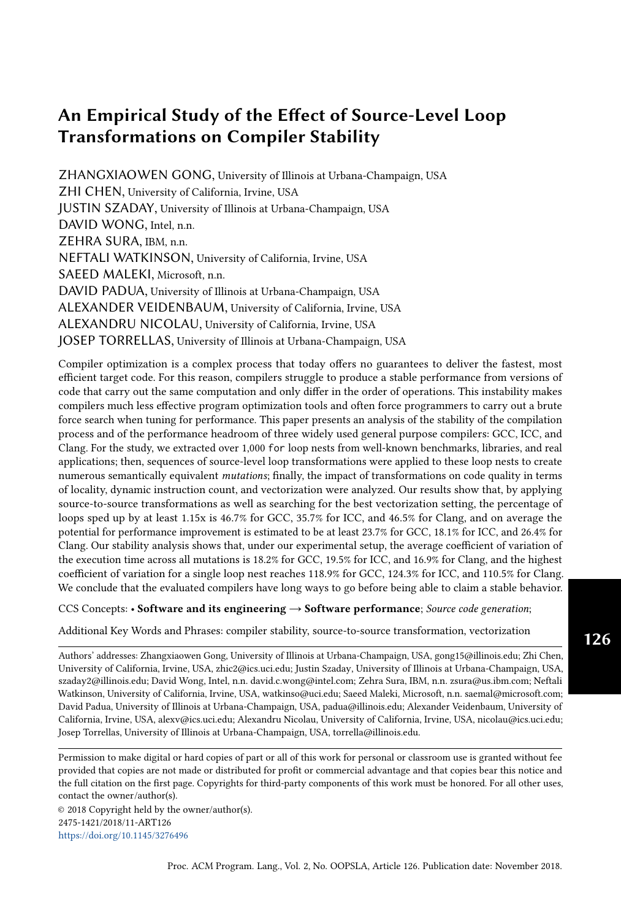for compiler developers to evaluate the stability of their compilers as well as for the community to track the progress to compiler stability over time.

To understand the reasons that cause the instability in the compilation process, we analyzed the major effects of the transformations on performance by correlating the performance variation with the change in performance counter readings and derived metrics. Using the correlation and by manually inspecting the assembly code of interesting cases, we were able to suggest improvements on compiler design that may increase the compilers' stability. We also found that the effect of source-level transformations is sometimes difficult to predict. For example, unrolling may either help or harm vectorization depending on the vectorization technique employed. Because different compilers may react to the same transformation in different ways, it is even harder for a programmer to write a loop structure that can be optimized well by multiple compilers.

Because vectorization has a significant impact on performance and thus on stability, we also investigated how different loop structures affect vectorization as well as how effective the compilers' vectorization profitability models are. We observed that when the vectorization profitability model fails, the performance of a loop can be severely harmed. Also, the newest vector extension, despite having longer vector length and more features than the older ones, can be outperformed by the older ones.

With the combined effort of applying source-to-source transformations and tuning vectorization settings, 35.7 46.5% of the loops, depending on the compiler, exhibit a performance headroom of over 15%. Depending on the compiler, the average performance headroom of these significantly improved loops is 61.4% 65.3%, and the average performance headroom of all studied loops is 16.9% 19.5%. The results are the lower bound of potential performance improvement. We believe that the actual headroom may be significantly higher. By expanding the experiment with more loops and transformations in the future, we can gradually raise the lower bound and eventually get a sense of the actual performance headroom and instability of the compilers.

#### ACKNOWLEDGMENTS

This material is based upon work supported by the National Science Foundation under Award 1533912 [\(https://www.nsf.gov/awardsearch/showAward?AWD\\_ID=1533912\)](https://www.nsf.gov/awardsearch/showAward?AWD_ID=1533912). We thank Gerald DeJong for his valuable inputs during the early stage of the project. We thank the OOPSLA 2018 reviewers for their valuable comments and recommendations.

#### **REFERENCES**

<span id="page-27-6"></span>Dominik Adamski, Grzegorz Jabłoński, Piotr Perek, and Andrzej Napieralski. 2016. Polyhedral Source-to-Source Compiler. In Mixed Design of Integrated Circuits and Systems, 2016 MIXDES-23rd International Conference. IEEE, 458–463.

<span id="page-27-0"></span>Randy Allen and Ken Kennedy. 2001. Optimizing compilers for modern architectures a dependence-based approach. (2001).

<span id="page-27-3"></span>David H Bailey, Eric Barszcz, John T Barton, David S Browning, Robert L Carter, Leonardo Dagum, Rod A Fatoohi, Paul O Frederickson, Thomas A Lasinski, Rob S Schreiber, et al. 1991. The NAS parallel benchmarks. International Journal of High Performance Computing Applications 5, 3 (1991), 63–73.

<span id="page-27-1"></span>C Bastoul and LN Pouchet. 2012. Candl: the chunky analyzer for dependences in loops. Technical Report. tech. rep., LRI, Paris-Sud University, France.

- <span id="page-27-5"></span>Uday Bondhugula, Muthu Baskaran, Sriram Krishnamoorthy, Jagannathan Ramanujam, Atanas Rountev, and Ponnuswamy Sadayappan. 2008. Automatic transformations for communication-minimized parallelization and locality optimization in the polyhedral model. In International Conference on Compiler Construction. Springer, 132–146.
- <span id="page-27-2"></span>Shirley Browne, Jack Dongarra, Eric Grosse, and Tom Rowan. 1995. The Netlib mathematical software repository. D-Lib Magazine, Sep (1995).
- <span id="page-27-7"></span>Pablo De Oliveira Castro, Chadi Akel, Eric Petit, Mihail Popov, and William Jalby. 2015. CERE: LLVM-Based Codelet Extractor and REplayer for Piecewise Benchmarking and Optimization. ACM Trans. Archit. Code Optim. 12, 1 (2015), 6:1–6:24.
- <span id="page-27-4"></span>Chun Chen, Jacqueline Chame, and Mary Hall. 2008. CHiLL: A framework for composing high-level loop transformations. Technical Report. Citeseer.

Proc. ACM Program. Lang., Vol. 2, No. OOPSLA, Article 126. Publication date: November 2018.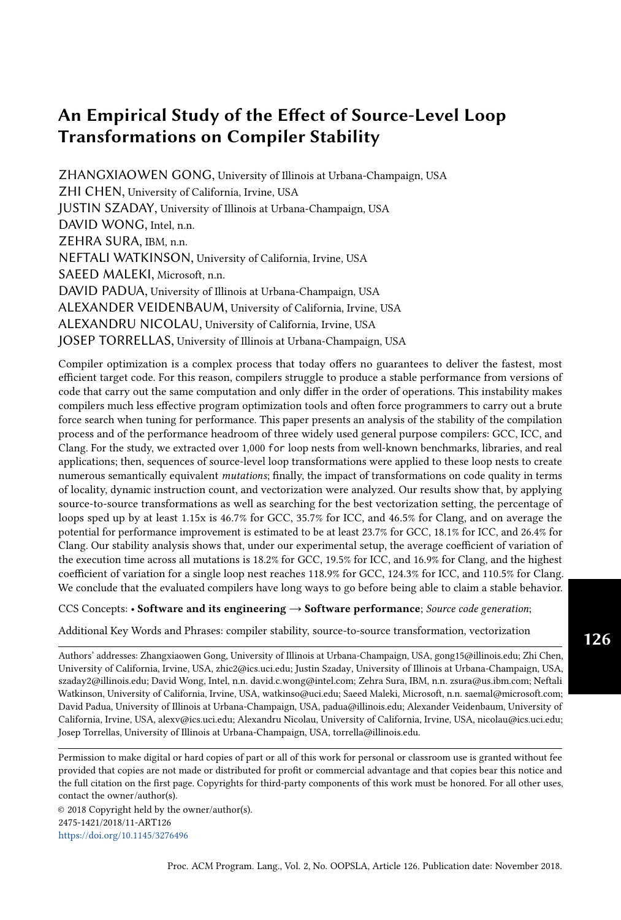<span id="page-28-4"></span>Zhi Chen, Zhangxiaowen Gong, Justin Szaday, David C. Wong, David Padua, Alexandru Nicolau, Alexander V. Veidenbaum, Neftali Watkinson, Zehra Sura, Saeed Maleki, Josep Torrellas, and Gerald DeJong. 2017. LORE: A loop repository for the evaluation of compilers. In 2017 IEEE International Symposium on Workload Characterization (IISWC). 219–228.

<span id="page-28-27"></span>Alastair F. Donaldson, Hugues Evrard, Andrei Lascu, and Paul Thomson. 2017. Automated testing of graphics shader compilers. PACMPL 1, OOPSLA (2017), 93:1–93:29. <https://doi.org/10.1145/3133917>

<span id="page-28-23"></span>Stuart I Feldman. 1990. A Fortran to C converter. In ACM SIGPLAN Fortran Forum, Vol. 9. ACM, 21–22.

<span id="page-28-12"></span>Jason E Fritts, Frederick W Steiling, Joseph A Tucek, and Wayne Wolf. 2009. MediaBench II video: Expediting the next generation of video systems research. Microprocessors and Microsystems 33, 4 (2009), 301–318.

<span id="page-28-2"></span>GG Fursin, Michael FP OâĂŹBoyle, and Peter MW Knijnenburg. 2002. Evaluating iterative compilation. In International Workshop on Languages and Compilers for Parallel Computing. Springer, 362–376.

<span id="page-28-18"></span>GAP. 2007. GAP - Groups, Algorithms, Programming - a System for Computational Discrete Algebra. [www.gap-system.org.](www.gap-system.org)

<span id="page-28-14"></span>John L Henning. 2000. SPEC CPU2000: Measuring CPU performance in the new millennium. Computer 33, 7 (2000), 28–35.

- <span id="page-28-15"></span>John L Henning. 2006. SPEC CPU2006 benchmark descriptions. ACM SIGARCH Computer Architecture News 34, 4 (2006),  $1 - 17$
- <span id="page-28-21"></span>Intel. 2016. Intel 64, and IA32 architectures software developer's manual, vol. 3A: system programming guide, part 1. Intel Corporation, Denver, CO (2016).

<span id="page-28-1"></span>David J. Kuck, Robert H. Kuhn, Bruce Leasure, and Michael Wolfe. 1980. The structure of an advanced vectorizer for pipelined processors. In Fourth International Computer Software and Applications Conference. IEEE, 201–218.

<span id="page-28-19"></span>LAME. 2017. LAME MP3 Encoder. [lame.sourceforge.net.](lame.sourceforge.net)

- <span id="page-28-24"></span>Samuel Larsen and Saman Amarasinghe. 2000. Exploiting superword level parallelism with multimedia instruction sets. Vol. 35. ACM.
- <span id="page-28-26"></span>Vu Le, Mehrdad Afshari, and Zhendong Su. 2014. Compiler validation via equivalence modulo inputs. In ACM SIGPLAN Conference on Programming Language Design and Implementation, PLDI '14, Edinburgh, United Kingdom - June 09 - 11, 2014. 216–226. <https://doi.org/10.1145/2594291.2594334>
- <span id="page-28-8"></span>Man-Lap Li, R. Sasanka, S. V. Adve, Yen-Kuang Chen, and E. Debes. 2005. The ALPBench benchmark suite for complex multimedia applications. In IEEE International Proceedings of the IEEE Workload Characterization Symposium (IISWC). 34–45.
- <span id="page-28-30"></span>Chunhua Liao, Daniel J Quinlan, Richard Vuduc, and Thomas Panas. 2009. Effective source-to-source outlining to support whole program empirical optimization. In International Workshop on Languages and Compilers for Parallel Computing. Springer, 308–322.
- <span id="page-28-9"></span>LLNL. 2008. ASC Sequoia Benchmark. [https://asc.llnl.gov/sequoia/benchmarks/.](https://asc.llnl.gov/sequoia/benchmarks/)
- <span id="page-28-16"></span>Saeed Maleki, Yaoqing Gao, Maria J Garzar, Tommy Wong, David A Padua, et al. 2011. An evaluation of vectorizing compilers. In Parallel Architectures and Compilation Techniques (PACT), 2011 International Conference on. IEEE, 372–382.
- <span id="page-28-22"></span><span id="page-28-20"></span>Mozilla. 2017. Mozilla JPEG Encoder Project. [github.com/mozilla/mozjpeg.](github.com/mozilla/mozjpeg)
- Todd Mytkowicz, Amer Diwan, Matthias Hauswirth, and Peter F Sweeney. 2009. Producing wrong data without doing anything obviously wrong! ACM Sigplan Notices 44, 3 (2009), 265–276.
- <span id="page-28-25"></span>Dorit Nuzman and Ayal Zaks. 2008. Outer-loop vectorization-revisited for short SIMD architectures. In Parallel Architectures and Compilation Techniques (PACT), 2008 International Conference on. IEEE, 2–11.
- <span id="page-28-0"></span>Zhelong Pan and Rudolf Eigenmann. 2006. Fast, Automatic, Procedure-level Performance Tuning. In Proceedings of the 15th International Conference on Parallel Architectures and Compilation Techniques (PACT). 173–181.
- <span id="page-28-6"></span>Gabriele Paoloni. 2010. How to benchmark code execution times on Intel IA-32 and IA-64 instruction set architectures. Intel Corporation (2010), 123.
- <span id="page-28-29"></span>Eunjung Park, John Cavazos, Louis-Noël Pouchet, Cédric Bastoul, Albert Cohen, and P Sadayappan. 2013. Predictive modeling in a polyhedral optimization space. International journal of parallel programming 41, 5 (2013), 704–750.
- <span id="page-28-11"></span>Tim Peters. 1992. Livermore loops coded in C. [http://www.netlib.org/benchmark/livermorec.](http://www.netlib.org/benchmark/livermorec) (1992).
- <span id="page-28-7"></span>Louis-Noël Pouchet. 2011. Polyopt/C: A polyhedral optimizer for the ROSE compiler. [http://web.cse.ohio-state.edu/~pouchet/](http://web.cse.ohio-state.edu/~pouchet/software/polyopt) [software/polyopt.](http://web.cse.ohio-state.edu/~pouchet/software/polyopt)
- <span id="page-28-13"></span>Louis-Noël Pouchet. 2012. Polybench: The polyhedral benchmark suite. [http://www.cs.ucla.edu/pouchet/software/polybench.](http://www.cs.ucla.edu/pouchet/software/polybench) (2012).
- <span id="page-28-3"></span>Louis-Noël Pouchet, Cédric Bastoul, Albert Cohen, and John Cavazos. 2008. Iterative optimization in the polyhedral model: Part II, multidimensional time. In ACM SIGPLAN Notices, Vol. 43. ACM, 90–100.
- <span id="page-28-5"></span>Dan Quinlan. 2000. ROSE: Compiler support for object-oriented frameworks. Parallel Processing Letters 10, 02n03 (2000), 215–226.
- <span id="page-28-17"></span>Joseph Redmon. 2013–2016. Darknet: Open Source Neural Networks in C. [http://pjreddie.com/darknet/.](http://pjreddie.com/darknet/)
- <span id="page-28-10"></span>Peter Rundberg and Fredrik Warg. 2002. The FreeBench v1.0 Benchmark Suite. [http://www.freebench.org.](http://www.freebench.org) (2002).
- <span id="page-28-28"></span>Sergio Segura, Javier Troya, Amador Durán Toro, and Antonio Ruiz Cortés. 2017. Performance Metamorphic Testing: Motivation and Challenges. In 39th IEEE/ACM International Conference on Software Engineering: New Ideas and Emerging